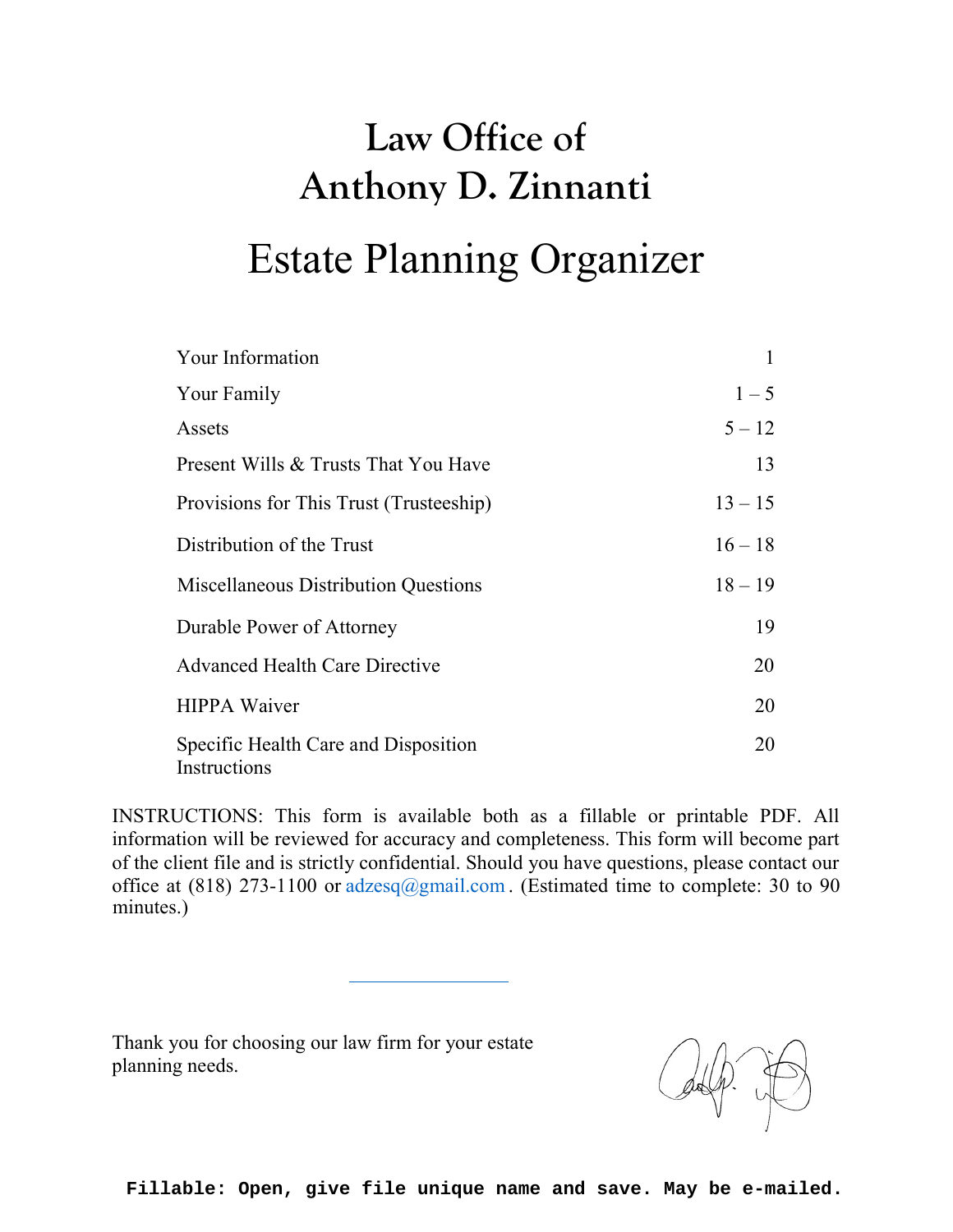# Law Office of Anthony D. Zinnanti Estate Planning Organizer

| Your Information                                     |           |
|------------------------------------------------------|-----------|
| Your Family                                          | $1 - 5$   |
| Assets                                               | $5 - 12$  |
| Present Wills & Trusts That You Have                 | 13        |
| Provisions for This Trust (Trusteeship)              | $13 - 15$ |
| Distribution of the Trust                            | $16 - 18$ |
| Miscellaneous Distribution Questions                 | $18 - 19$ |
| Durable Power of Attorney                            | 19        |
| <b>Advanced Health Care Directive</b>                | 20        |
| <b>HIPPA Waiver</b>                                  | 20        |
| Specific Health Care and Disposition<br>Instructions | 20        |

INSTRUCTIONS: This form is available both as a fillable or printable PDF. All information will be reviewed for accuracy and completeness. This form will become part of the client file and is strictly confidential. Should you have questions, please contact our office at (818) 273-1100 or  $adzesq(\omega gmail.com)$ . (Estimated time to complete: 30 to 90 minutes.)

Thank you for choosing our law firm for your estate planning needs.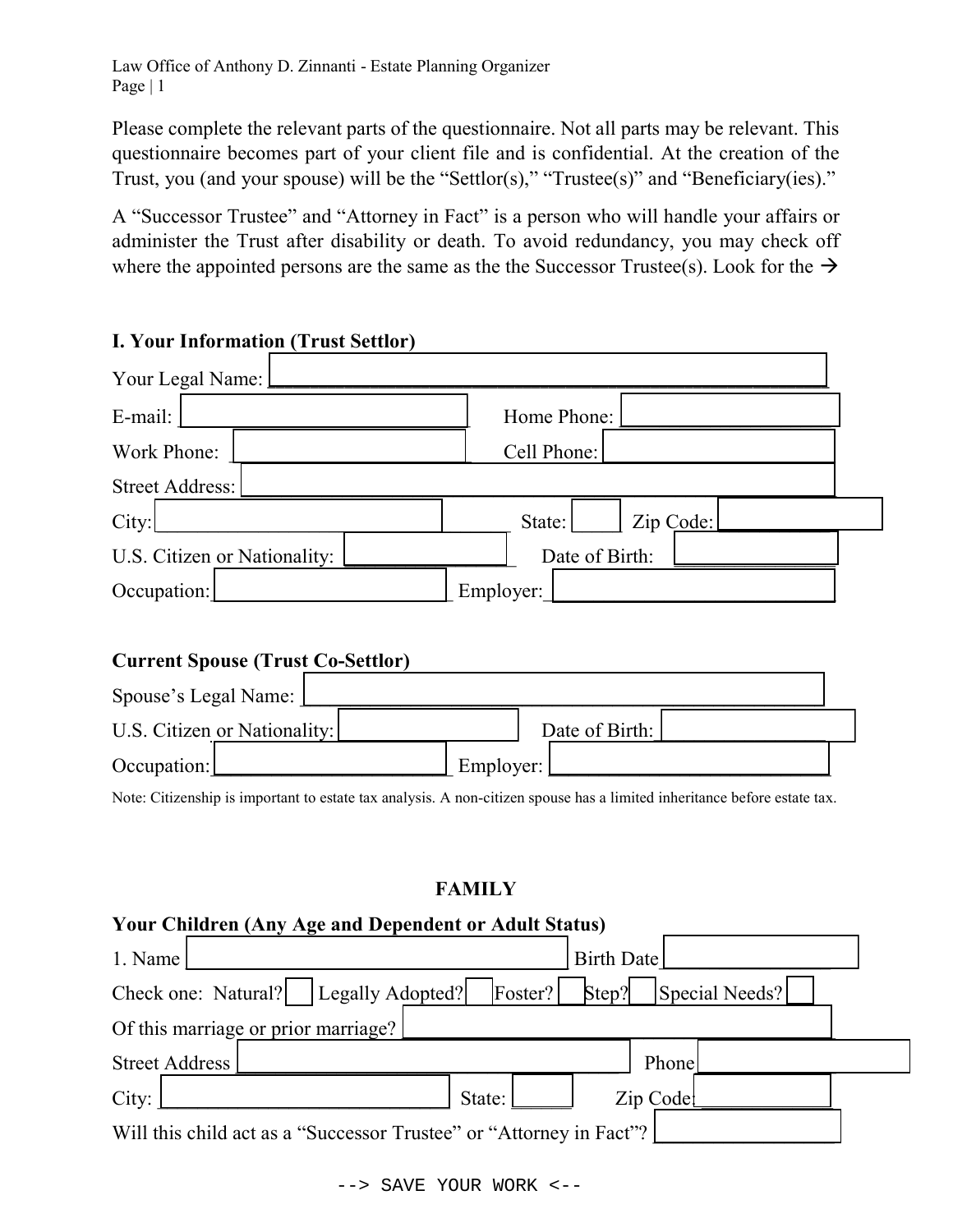Please complete the relevant parts of the questionnaire. Not all parts may be relevant. This questionnaire becomes part of your client file and is confidential. At the creation of the Trust, you (and your spouse) will be the "Settlor(s)," "Trustee(s)" and "Beneficiary(ies)."

A "Successor Trustee" and "Attorney in Fact" is a person who will handle your affairs or administer the Trust after disability or death. To avoid redundancy, you may check off where the appointed persons are the same as the the Successor Trustee(s). Look for the  $\rightarrow$ 

| E-mail:                      | Home Phone: |                |  |
|------------------------------|-------------|----------------|--|
| Work Phone:                  | Cell Phone: |                |  |
| Street Address:              |             |                |  |
| City:                        | State:      | Zip Code:      |  |
| U.S. Citizen or Nationality: |             | Date of Birth: |  |
| Occupation:                  | Employer:   |                |  |

## I. Your Information (Trust Settlor)

| <b>Current Spouse (Trust Co-Settlor)</b> |           |                |  |  |  |
|------------------------------------------|-----------|----------------|--|--|--|
| Spouse's Legal Name:                     |           |                |  |  |  |
| U.S. Citizen or Nationality:             |           | Date of Birth: |  |  |  |
| Occupation:                              | Employer: |                |  |  |  |

Note: Citizenship is important to estate tax analysis. A non-citizen spouse has a limited inheritance before estate tax.

## FAMILY

## Your Children (Any Age and Dependent or Adult Status)

| 1. Name                                                             | Birth Date              |
|---------------------------------------------------------------------|-------------------------|
| Check one: Natural?   Legally Adopted?<br>Foster?                   | Step?<br>Special Needs? |
| Of this marriage or prior marriage?                                 |                         |
| <b>Street Address</b>                                               | Phone                   |
| City:<br>State:                                                     | Zip Code                |
| Will this child act as a "Successor Trustee" or "Attorney in Fact"? |                         |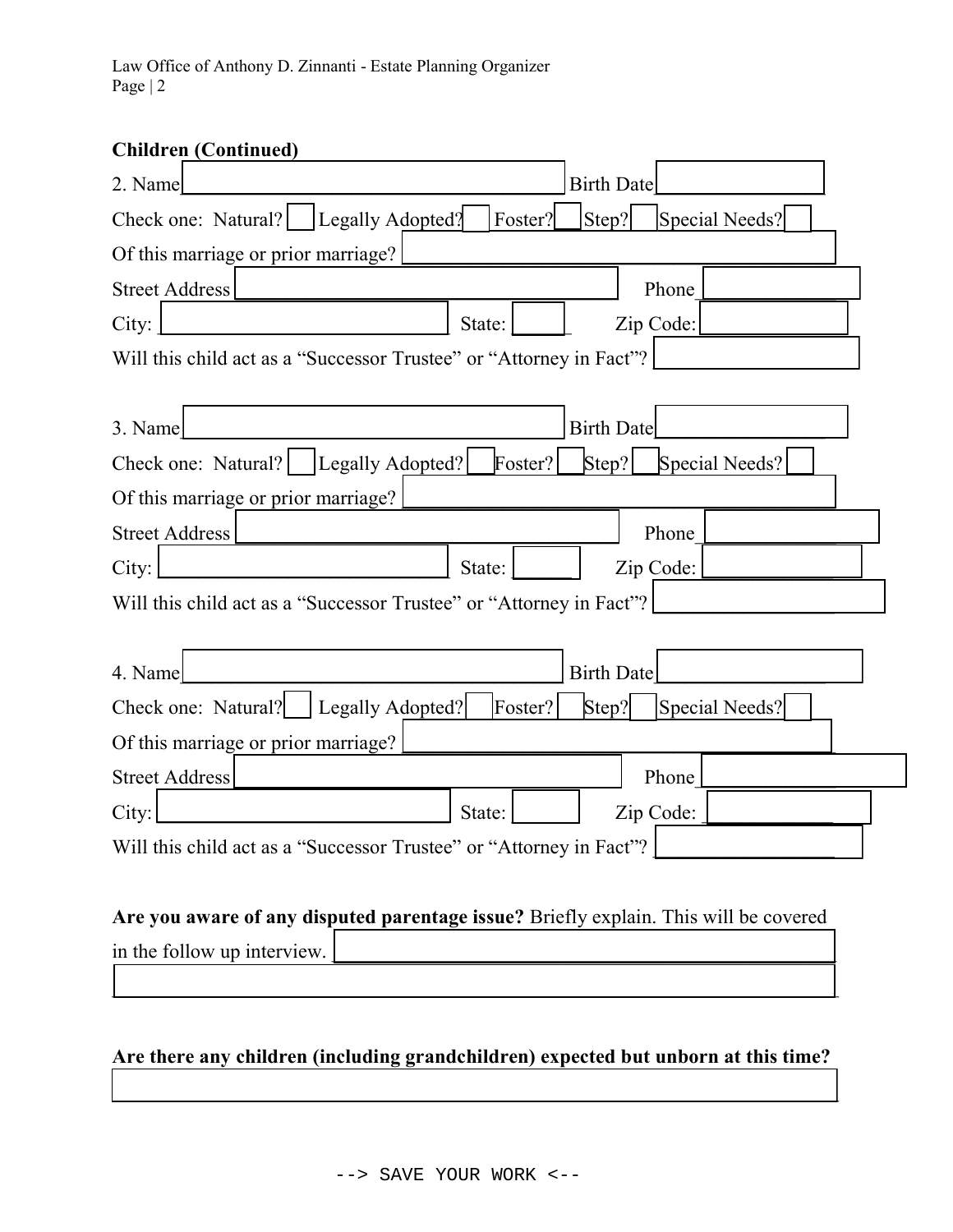| <b>Children (Continued)</b>                                                          |        |         |                   |           |                |  |
|--------------------------------------------------------------------------------------|--------|---------|-------------------|-----------|----------------|--|
| 2. Name                                                                              |        |         | <b>Birth Date</b> |           |                |  |
| Check one: Natural?   [Legally Adopted?]                                             |        | Foster? | Step?             |           | Special Needs? |  |
| Of this marriage or prior marriage?                                                  |        |         |                   |           |                |  |
| <b>Street Address</b>                                                                |        |         |                   | Phone     |                |  |
| City:                                                                                | State: |         |                   | Zip Code: |                |  |
| Will this child act as a "Successor Trustee" or "Attorney in Fact"?                  |        |         |                   |           |                |  |
|                                                                                      |        |         |                   |           |                |  |
| 3. Name                                                                              |        |         | <b>Birth Date</b> |           |                |  |
| Legally Adopted? <br>Check one: Natural?                                             |        | Foster? | $\text{Step?}$    |           | Special Needs? |  |
| Of this marriage or prior marriage?                                                  |        |         |                   |           |                |  |
| <b>Street Address</b>                                                                |        |         |                   | Phone     |                |  |
| City:                                                                                | State: |         |                   | Zip Code: |                |  |
| Will this child act as a "Successor Trustee" or "Attorney in Fact"?                  |        |         |                   |           |                |  |
|                                                                                      |        |         |                   |           |                |  |
| 4. Name                                                                              |        |         | <b>Birth Date</b> |           |                |  |
| Check one: Natural?   Legally Adopted?                                               |        | Foster? | Step?             |           | Special Needs? |  |
| Of this marriage or prior marriage?                                                  |        |         |                   |           |                |  |
| <b>Street Address</b>                                                                |        |         |                   | Phone     |                |  |
| City:                                                                                | State: |         |                   | Zip Code: |                |  |
| Will this child act as a "Successor Trustee" or "Attorney in Fact"?                  |        |         |                   |           |                |  |
|                                                                                      |        |         |                   |           |                |  |
| Are you aware of any disputed parentage issue? Briefly explain. This will be covered |        |         |                   |           |                |  |
|                                                                                      |        |         |                   |           |                |  |

in the follow up interview.

# Are there any children (including grandchildren) expected but unborn at this time?

 $\mathcal{L}_\text{max}$  and  $\mathcal{L}_\text{max}$  and  $\mathcal{L}_\text{max}$  and  $\mathcal{L}_\text{max}$  and  $\mathcal{L}_\text{max}$  and  $\mathcal{L}_\text{max}$ 

 $\mathcal{L}_\text{max}$  and  $\mathcal{L}_\text{max}$  and  $\mathcal{L}_\text{max}$  and  $\mathcal{L}_\text{max}$  and  $\mathcal{L}_\text{max}$  and  $\mathcal{L}_\text{max}$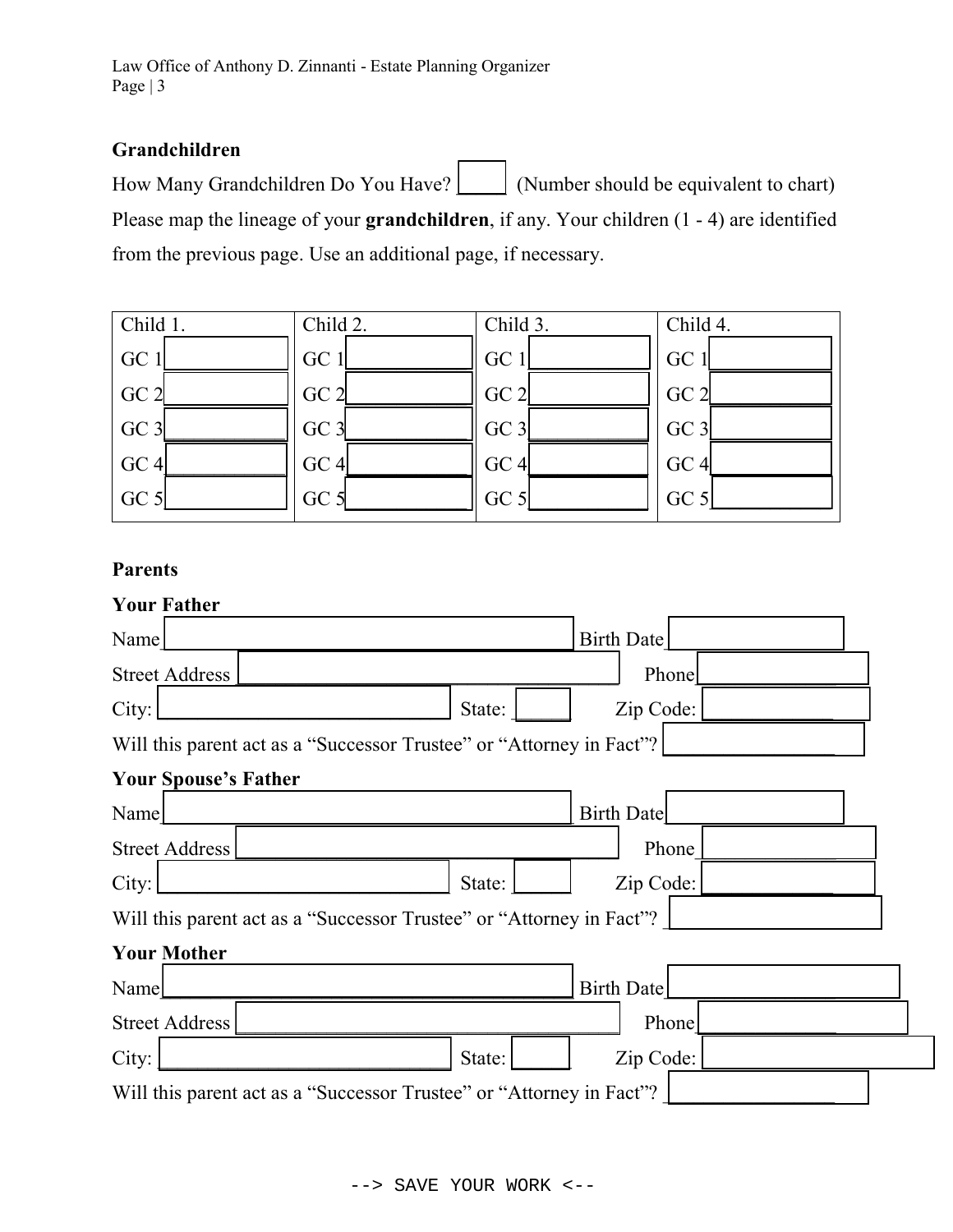## Grandchildren

How Many Grandchildren Do You Have?  $\Box$  (Number should be equivalent to chart) Please map the lineage of your **grandchildren**, if any. Your children  $(1 - 4)$  are identified from the previous page. Use an additional page, if necessary.



#### Parents

| <b>Your Father</b>                                                   |        |                   |
|----------------------------------------------------------------------|--------|-------------------|
| Name                                                                 |        | <b>Birth Date</b> |
| <b>Street Address</b>                                                |        | Phone             |
| City:                                                                | State: | Zip Code:         |
| Will this parent act as a "Successor Trustee" or "Attorney in Fact"? |        |                   |
| <b>Your Spouse's Father</b>                                          |        |                   |
| Name                                                                 |        | <b>Birth Date</b> |
| Street Address                                                       |        | Phone             |
| City:                                                                | State: | Zip Code:         |
| Will this parent act as a "Successor Trustee" or "Attorney in Fact"? |        |                   |
| <b>Your Mother</b>                                                   |        |                   |
| Name                                                                 |        | <b>Birth Date</b> |
| <b>Street Address</b>                                                |        | Phone             |
| City:                                                                | State: | Zip Code:         |
| Will this parent act as a "Successor Trustee" or "Attorney in Fact"? |        |                   |
|                                                                      |        |                   |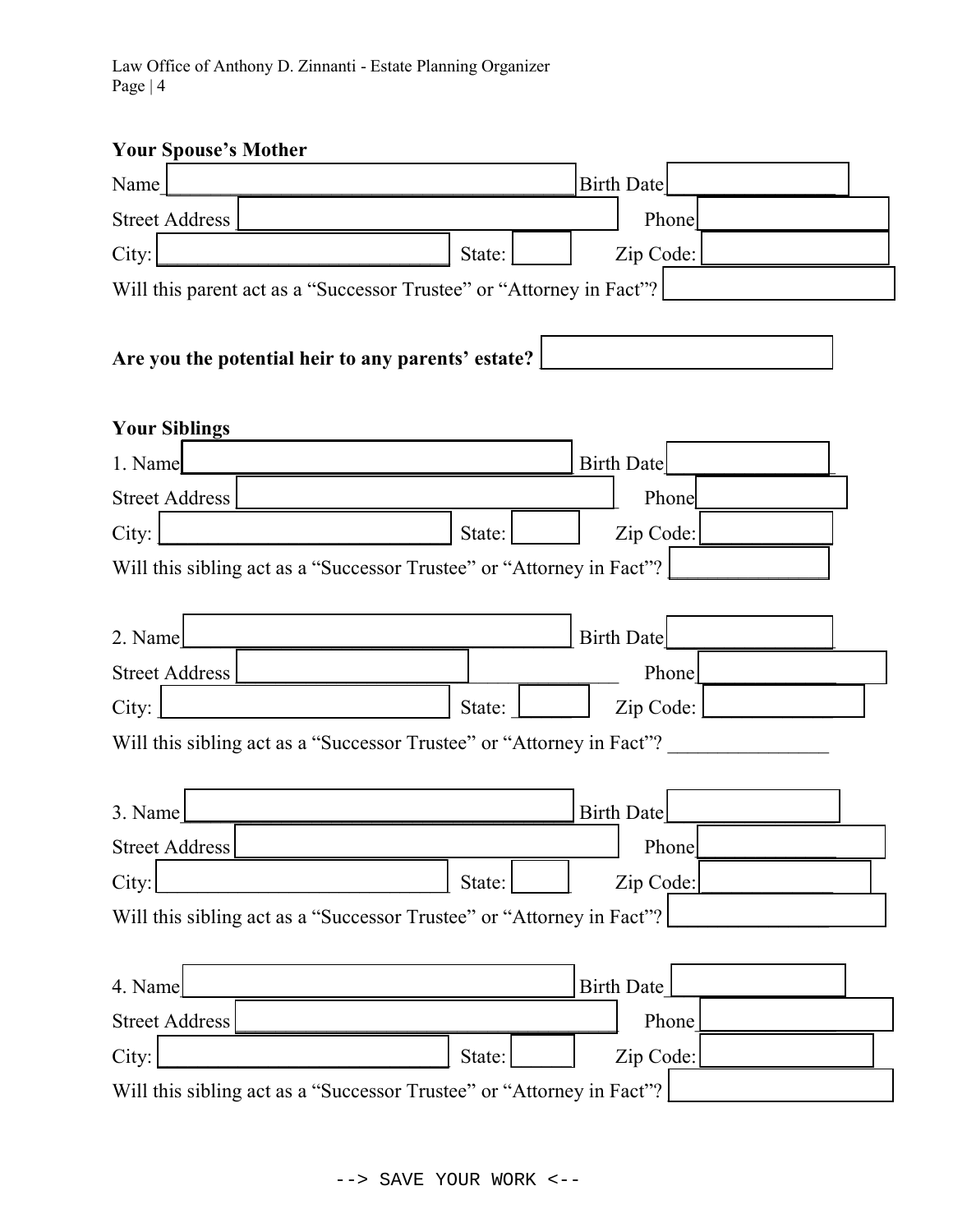# Your Spouse's Mother

| тамі эрамж з іланы                                 |                                                                       |
|----------------------------------------------------|-----------------------------------------------------------------------|
| Name                                               | <b>Birth Date</b>                                                     |
| <b>Street Address</b>                              | Phone                                                                 |
| City:                                              | Zip Code:<br>State:                                                   |
|                                                    | Will this parent act as a "Successor Trustee" or "Attorney in Fact"?  |
|                                                    |                                                                       |
| Are you the potential heir to any parents' estate? |                                                                       |
|                                                    |                                                                       |
| <b>Your Siblings</b>                               |                                                                       |
| 1. Name                                            | <b>Birth Date</b>                                                     |
| <b>Street Address</b>                              | Phone                                                                 |
| City:                                              | Zip Code:<br>State:                                                   |
|                                                    | Will this sibling act as a "Successor Trustee" or "Attorney in Fact"? |
|                                                    |                                                                       |
| 2. Name                                            | Birth Date                                                            |
| <b>Street Address</b>                              | Phone                                                                 |
| City:                                              | Zip Code:<br>State:                                                   |
|                                                    | Will this sibling act as a "Successor Trustee" or "Attorney in Fact"? |
|                                                    |                                                                       |
| 3. Name                                            | <b>Birth Date</b>                                                     |
| <b>Street Address</b>                              | Phone                                                                 |
| City:                                              | Zip Code:<br>State:                                                   |
|                                                    | Will this sibling act as a "Successor Trustee" or "Attorney in Fact"? |
|                                                    |                                                                       |
| 4. Name                                            | <b>Birth Date</b>                                                     |
| <b>Street Address</b>                              | Phone                                                                 |
| City:                                              | Zip Code:<br>State:                                                   |
|                                                    | Will this sibling act as a "Successor Trustee" or "Attorney in Fact"? |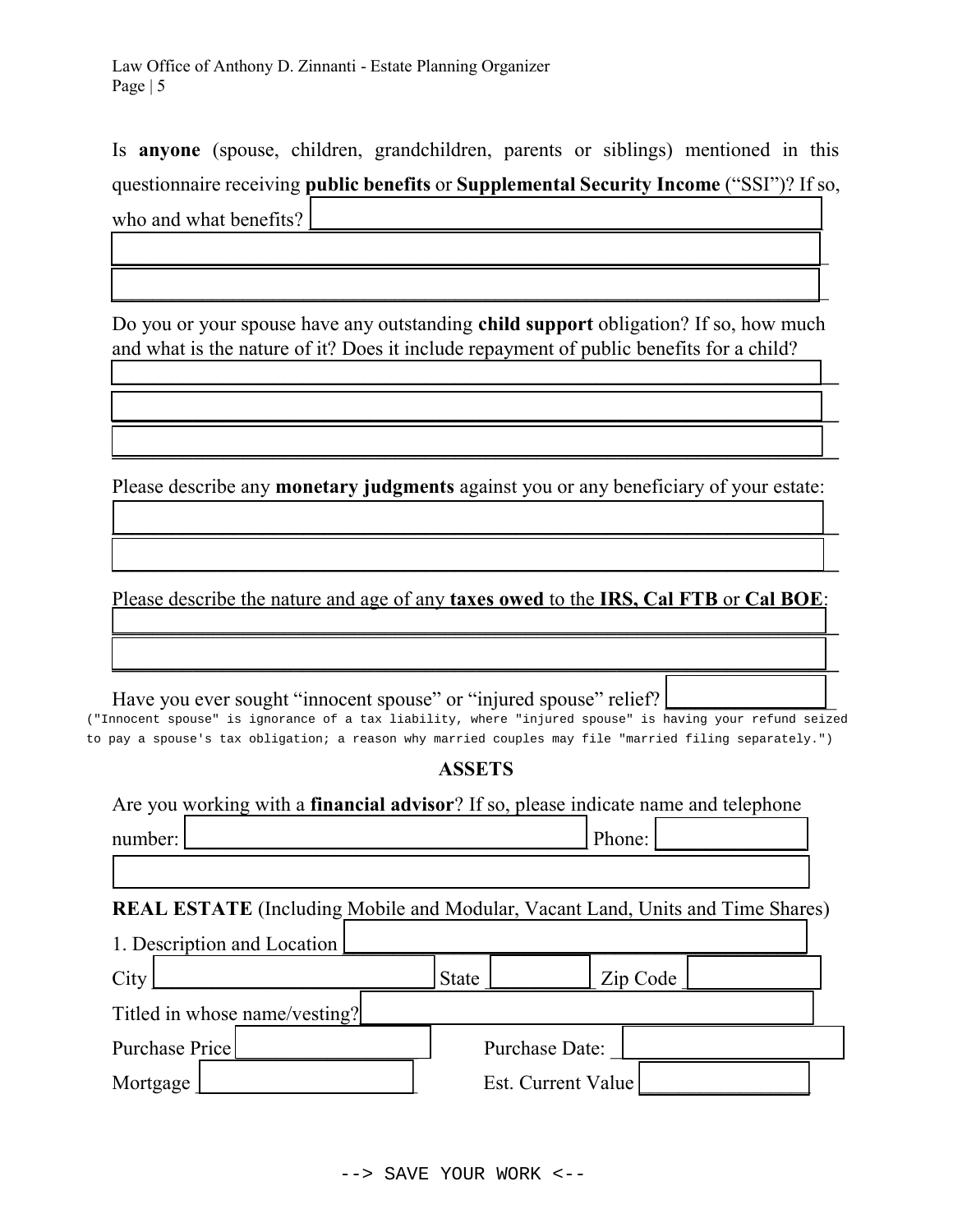Is anyone (spouse, children, grandchildren, parents or siblings) mentioned in this questionnaire receiving public benefits or Supplemental Security Income ("SSI")? If so,

 $\mathcal{L}_\mathcal{L} = \mathcal{L}_\mathcal{L} = \mathcal{L}_\mathcal{L} = \mathcal{L}_\mathcal{L} = \mathcal{L}_\mathcal{L} = \mathcal{L}_\mathcal{L} = \mathcal{L}_\mathcal{L} = \mathcal{L}_\mathcal{L} = \mathcal{L}_\mathcal{L} = \mathcal{L}_\mathcal{L} = \mathcal{L}_\mathcal{L} = \mathcal{L}_\mathcal{L} = \mathcal{L}_\mathcal{L} = \mathcal{L}_\mathcal{L} = \mathcal{L}_\mathcal{L} = \mathcal{L}_\mathcal{L} = \mathcal{L}_\mathcal{L}$ 

 $\mathcal{L}_\text{max} = \mathcal{L}_\text{max} = \mathcal{L}_\text{max} = \mathcal{L}_\text{max} = \mathcal{L}_\text{max} = \mathcal{L}_\text{max} = \mathcal{L}_\text{max} = \mathcal{L}_\text{max} = \mathcal{L}_\text{max} = \mathcal{L}_\text{max} = \mathcal{L}_\text{max} = \mathcal{L}_\text{max} = \mathcal{L}_\text{max} = \mathcal{L}_\text{max} = \mathcal{L}_\text{max} = \mathcal{L}_\text{max} = \mathcal{L}_\text{max} = \mathcal{L}_\text{max} = \mathcal{$ 

who and what benefits?

Do you or your spouse have any outstanding child support obligation? If so, how much and what is the nature of it? Does it include repayment of public benefits for a child?

 $\mathcal{L}_\text{max}$  , and the contract of the contract of the contract of the contract of the contract of the contract of the contract of the contract of the contract of the contract of the contract of the contract of the contr

 $\overline{\phantom{a}}$  , and the contribution of the contribution of the contribution of the contribution of the contribution of the contribution of the contribution of the contribution of the contribution of the contribution of the

 $\mathcal{L}_\text{max}$  and  $\mathcal{L}_\text{max}$  and  $\mathcal{L}_\text{max}$  and  $\mathcal{L}_\text{max}$  and  $\mathcal{L}_\text{max}$  and  $\mathcal{L}_\text{max}$ 

 $\mathcal{L}_\text{max}$  and  $\mathcal{L}_\text{max}$  and  $\mathcal{L}_\text{max}$  and  $\mathcal{L}_\text{max}$  and  $\mathcal{L}_\text{max}$  and  $\mathcal{L}_\text{max}$  and  $\mathcal{L}_\text{max}$ 

 $\mathcal{L}_\text{max}$  and  $\mathcal{L}_\text{max}$  and  $\mathcal{L}_\text{max}$  and  $\mathcal{L}_\text{max}$  and  $\mathcal{L}_\text{max}$  and  $\mathcal{L}_\text{max}$  and  $\mathcal{L}_\text{max}$ 

Please describe any monetary judgments against you or any beneficiary of your estate:

Please describe the nature and age of any **taxes owed** to the **IRS**, Cal FTB or Cal BOE:  $\mathcal{L}_\text{max}$  and  $\mathcal{L}_\text{max}$  and  $\mathcal{L}_\text{max}$  and  $\mathcal{L}_\text{max}$  and  $\mathcal{L}_\text{max}$  and  $\mathcal{L}_\text{max}$ 

 $\mathcal{L}_\text{max}$  and  $\mathcal{L}_\text{max}$  and  $\mathcal{L}_\text{max}$  and  $\mathcal{L}_\text{max}$  and  $\mathcal{L}_\text{max}$  and  $\mathcal{L}_\text{max}$ 

Have you ever sought "innocent spouse" or "injured spouse" relief? ("Innocent spouse" is ignorance of a tax liability, where "injured spouse" is having your refund seized to pay a spouse's tax obligation; a reason why married couples may file "married filing separately.")

ASSETS

Are you working with a financial advisor? If so, please indicate name and telephone number:  $\Box$ REAL ESTATE (Including Mobile and Modular, Vacant Land, Units and Time Shares) 1. Description and Location City  $\begin{array}{c|c|c|c|c} \text{City} & \text{State} & \text{Zip Code} \end{array}$ Titled in whose name/vesting? Purchase Price **Price 2.1 All 2.4 Purchase Date:**  $\blacksquare$ Mortgage | Est. Current Value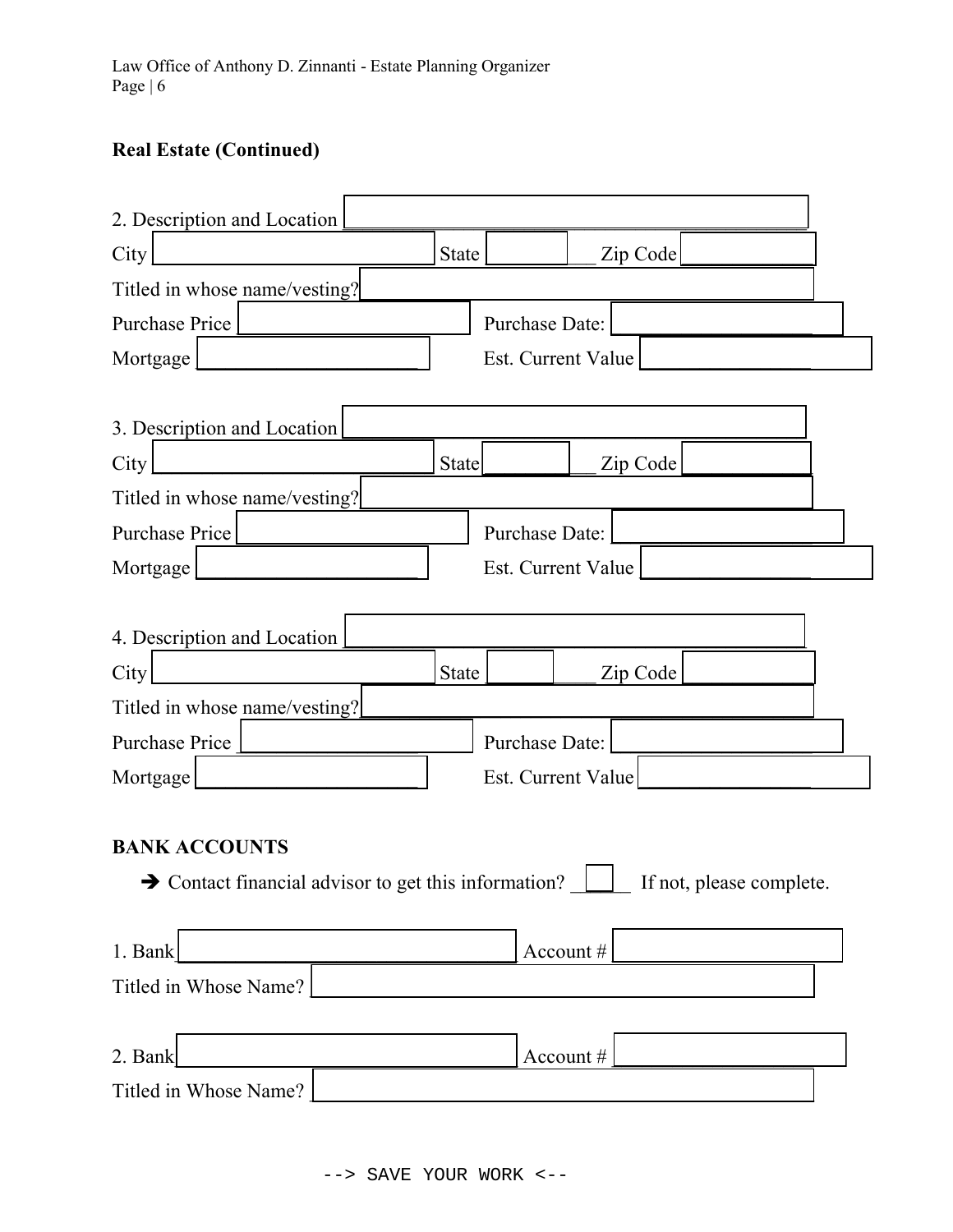# Real Estate (Continued)

| 2. Description and Location                                      |              |                    |          |                          |  |
|------------------------------------------------------------------|--------------|--------------------|----------|--------------------------|--|
| City                                                             | <b>State</b> |                    |          | Zip Code                 |  |
| Titled in whose name/vesting?                                    |              |                    |          |                          |  |
| <b>Purchase Price</b>                                            |              | Purchase Date:     |          |                          |  |
| Mortgage                                                         |              | Est. Current Value |          |                          |  |
|                                                                  |              |                    |          |                          |  |
| 3. Description and Location                                      |              |                    |          |                          |  |
| City                                                             | <b>State</b> |                    |          | Zip Code                 |  |
| Titled in whose name/vesting?                                    |              |                    |          |                          |  |
| <b>Purchase Price</b>                                            |              | Purchase Date:     |          |                          |  |
| Mortgage                                                         |              | Est. Current Value |          |                          |  |
|                                                                  |              |                    |          |                          |  |
| 4. Description and Location                                      |              |                    |          |                          |  |
| City                                                             | State        |                    |          | Zip Code                 |  |
| Titled in whose name/vesting?                                    |              |                    |          |                          |  |
| Purchase Price                                                   |              | Purchase Date:     |          |                          |  |
| Mortgage                                                         |              | Est. Current Value |          |                          |  |
|                                                                  |              |                    |          |                          |  |
| <b>BANK ACCOUNTS</b>                                             |              |                    |          |                          |  |
| $\rightarrow$ Contact financial advisor to get this information? |              |                    |          | If not, please complete. |  |
|                                                                  |              |                    |          |                          |  |
| 1. Bank                                                          |              |                    | Account# |                          |  |
| Titled in Whose Name?                                            |              |                    |          |                          |  |
|                                                                  |              |                    |          |                          |  |
| 2. Bank                                                          |              |                    | Account# |                          |  |
| Titled in Whose Name?                                            |              |                    |          |                          |  |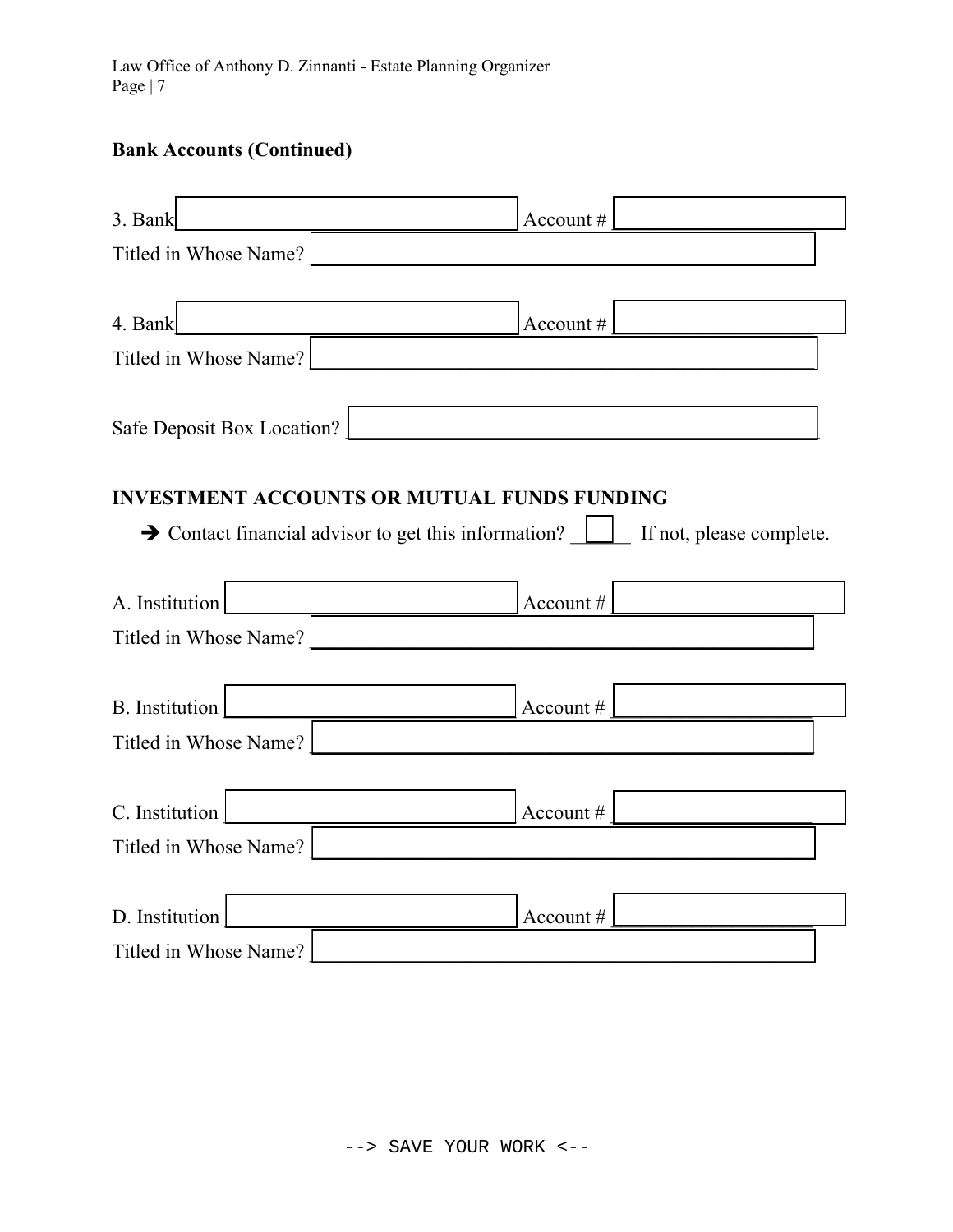Law Office of Anthony D. Zinnanti - Estate Planning Organizer Page | 7

# Bank Accounts (Continued)

| 3. Bank                                                          | Account #                |
|------------------------------------------------------------------|--------------------------|
| Titled in Whose Name?                                            |                          |
|                                                                  |                          |
| 4. Bank                                                          | Account #                |
| Titled in Whose Name?                                            |                          |
| Safe Deposit Box Location?                                       |                          |
| <b>INVESTMENT ACCOUNTS OR MUTUAL FUNDS FUNDING</b>               |                          |
| $\rightarrow$ Contact financial advisor to get this information? | If not, please complete. |
|                                                                  |                          |
| A. Institution                                                   | Account #                |
| Titled in Whose Name?                                            |                          |
|                                                                  |                          |
| <b>B.</b> Institution                                            | Account #                |
| Titled in Whose Name?                                            |                          |
|                                                                  |                          |
| C. Institution                                                   | Account #                |
| Titled in Whose Name?                                            |                          |
|                                                                  |                          |
| D. Institution                                                   | Account #                |
| Titled in Whose Name?                                            |                          |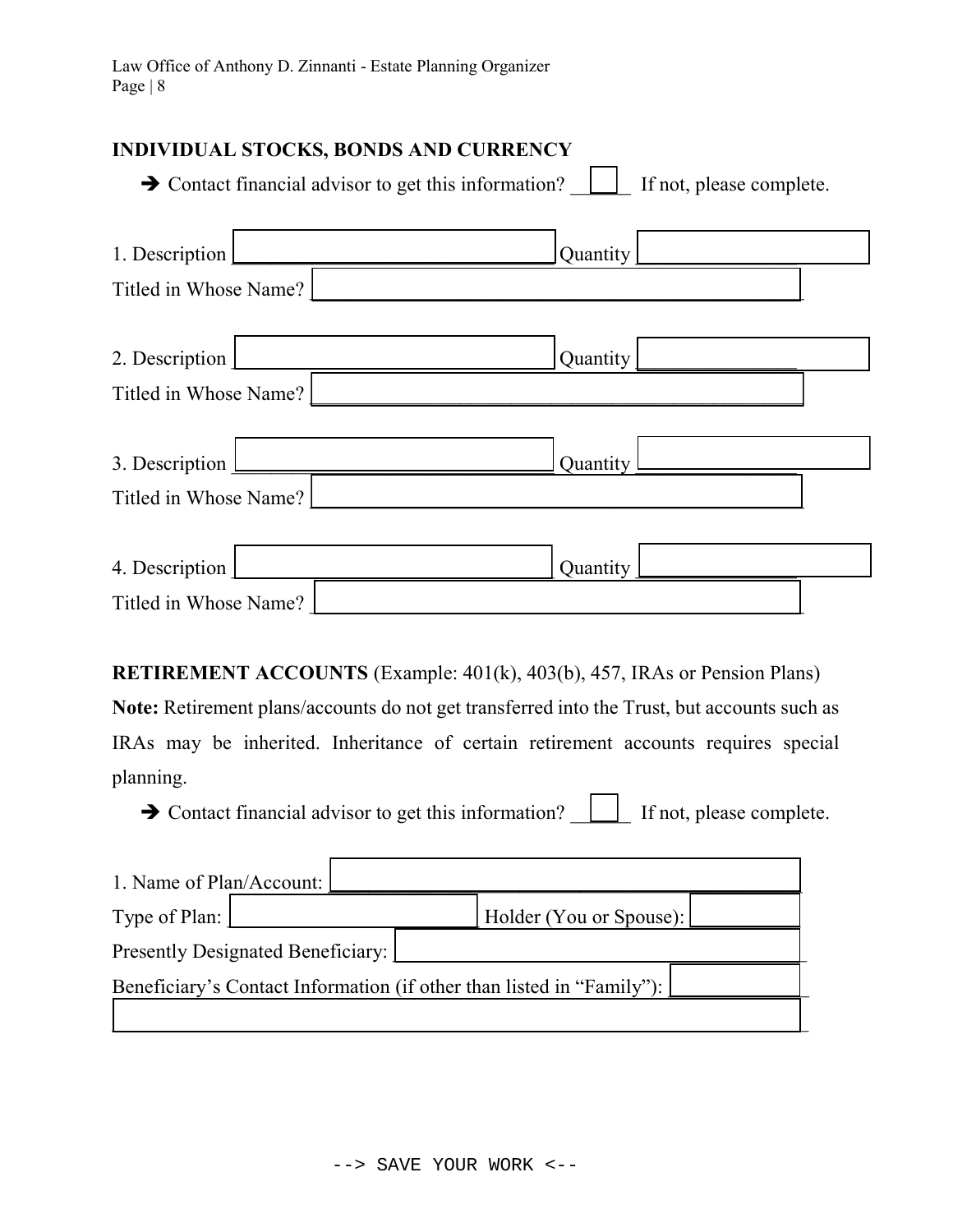#### INDIVIDUAL STOCKS, BONDS AND CURRENCY

|                       | $\rightarrow$ Contact financial advisor to get this information?<br>If not, please complete. |  |
|-----------------------|----------------------------------------------------------------------------------------------|--|
| 1. Description        | Quantity                                                                                     |  |
| Titled in Whose Name? |                                                                                              |  |
| 2. Description        | Quantity                                                                                     |  |
| Titled in Whose Name? |                                                                                              |  |
| 3. Description        | Quantity                                                                                     |  |
| Titled in Whose Name? |                                                                                              |  |
|                       |                                                                                              |  |
| 4. Description        | Quantity                                                                                     |  |
| Titled in Whose Name? |                                                                                              |  |

RETIREMENT ACCOUNTS (Example: 401(k), 403(b), 457, IRAs or Pension Plans)

Note: Retirement plans/accounts do not get transferred into the Trust, but accounts such as IRAs may be inherited. Inheritance of certain retirement accounts requires special planning.

 $\rightarrow$  Contact financial advisor to get this information?  $\Box$  If not, please complete.

| 1. Name of Plan/Account:                                              |  |                         |  |  |  |
|-----------------------------------------------------------------------|--|-------------------------|--|--|--|
| Type of Plan:                                                         |  | Holder (You or Spouse): |  |  |  |
| Presently Designated Beneficiary:                                     |  |                         |  |  |  |
| Beneficiary's Contact Information (if other than listed in "Family"): |  |                         |  |  |  |
|                                                                       |  |                         |  |  |  |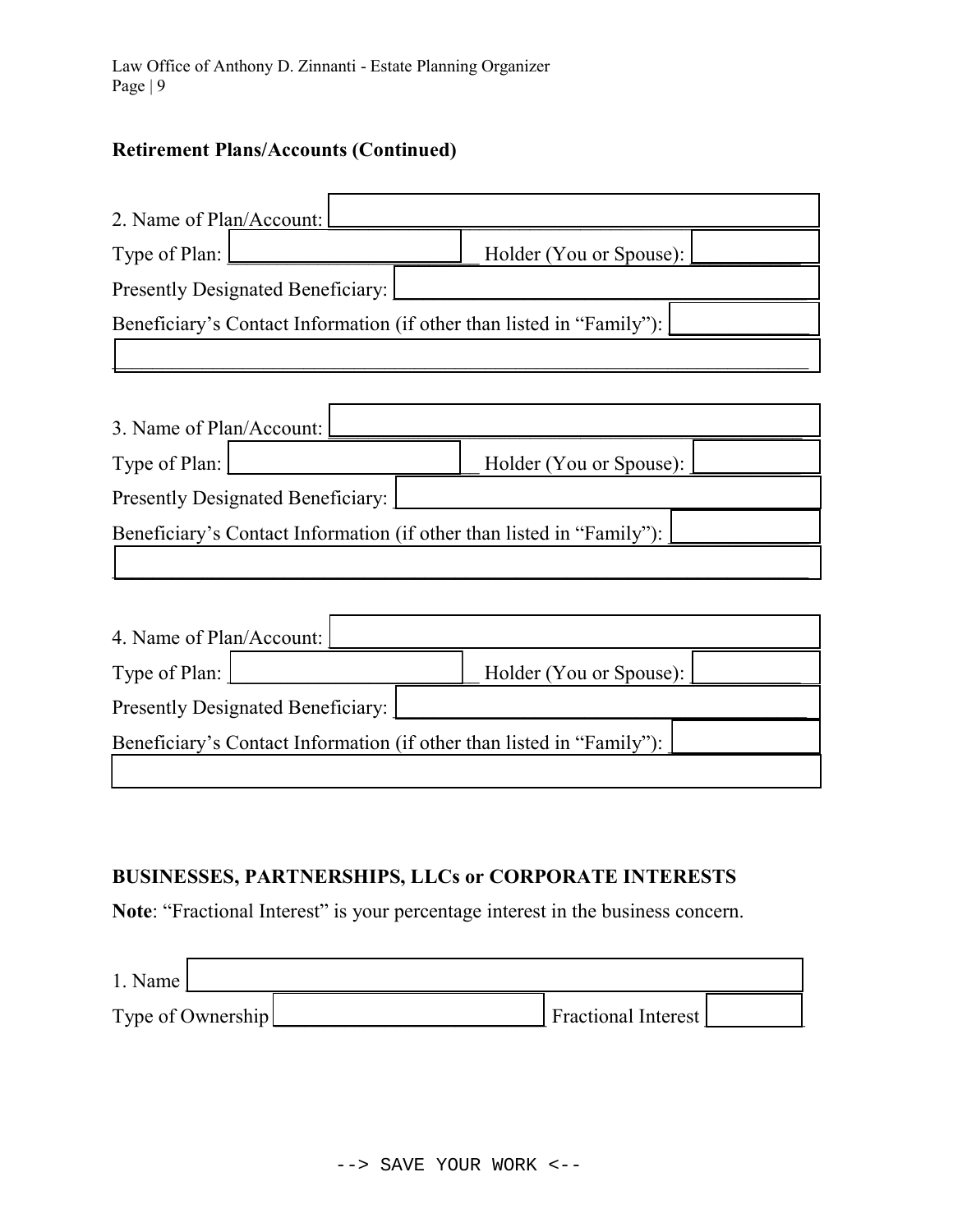$\Gamma$ 

# Retirement Plans/Accounts (Continued)

| 2. Name of Plan/Account:                 |                                                                       |  |                                                                       |  |  |  |  |
|------------------------------------------|-----------------------------------------------------------------------|--|-----------------------------------------------------------------------|--|--|--|--|
| Type of Plan:                            |                                                                       |  | Holder (You or Spouse):                                               |  |  |  |  |
|                                          | <b>Presently Designated Beneficiary:</b>                              |  |                                                                       |  |  |  |  |
|                                          | Beneficiary's Contact Information (if other than listed in "Family"): |  |                                                                       |  |  |  |  |
|                                          |                                                                       |  |                                                                       |  |  |  |  |
|                                          |                                                                       |  |                                                                       |  |  |  |  |
| 3. Name of Plan/Account:                 |                                                                       |  |                                                                       |  |  |  |  |
| Type of Plan:                            |                                                                       |  | Holder (You or Spouse):                                               |  |  |  |  |
|                                          | <b>Presently Designated Beneficiary:</b>                              |  |                                                                       |  |  |  |  |
|                                          |                                                                       |  | Beneficiary's Contact Information (if other than listed in "Family"): |  |  |  |  |
|                                          |                                                                       |  |                                                                       |  |  |  |  |
|                                          |                                                                       |  |                                                                       |  |  |  |  |
| 4. Name of Plan/Account:                 |                                                                       |  |                                                                       |  |  |  |  |
| Type of Plan:                            |                                                                       |  | Holder (You or Spouse):                                               |  |  |  |  |
| <b>Presently Designated Beneficiary:</b> |                                                                       |  |                                                                       |  |  |  |  |
|                                          | Beneficiary's Contact Information (if other than listed in "Family"): |  |                                                                       |  |  |  |  |
|                                          |                                                                       |  |                                                                       |  |  |  |  |

٦Ì

# BUSINESSES, PARTNERSHIPS, LLCs or CORPORATE INTERESTS

Note: "Fractional Interest" is your percentage interest in the business concern.

| $1.$ Name $\vert$ |                            |  |
|-------------------|----------------------------|--|
| Type of Ownership | <b>Fractional Interest</b> |  |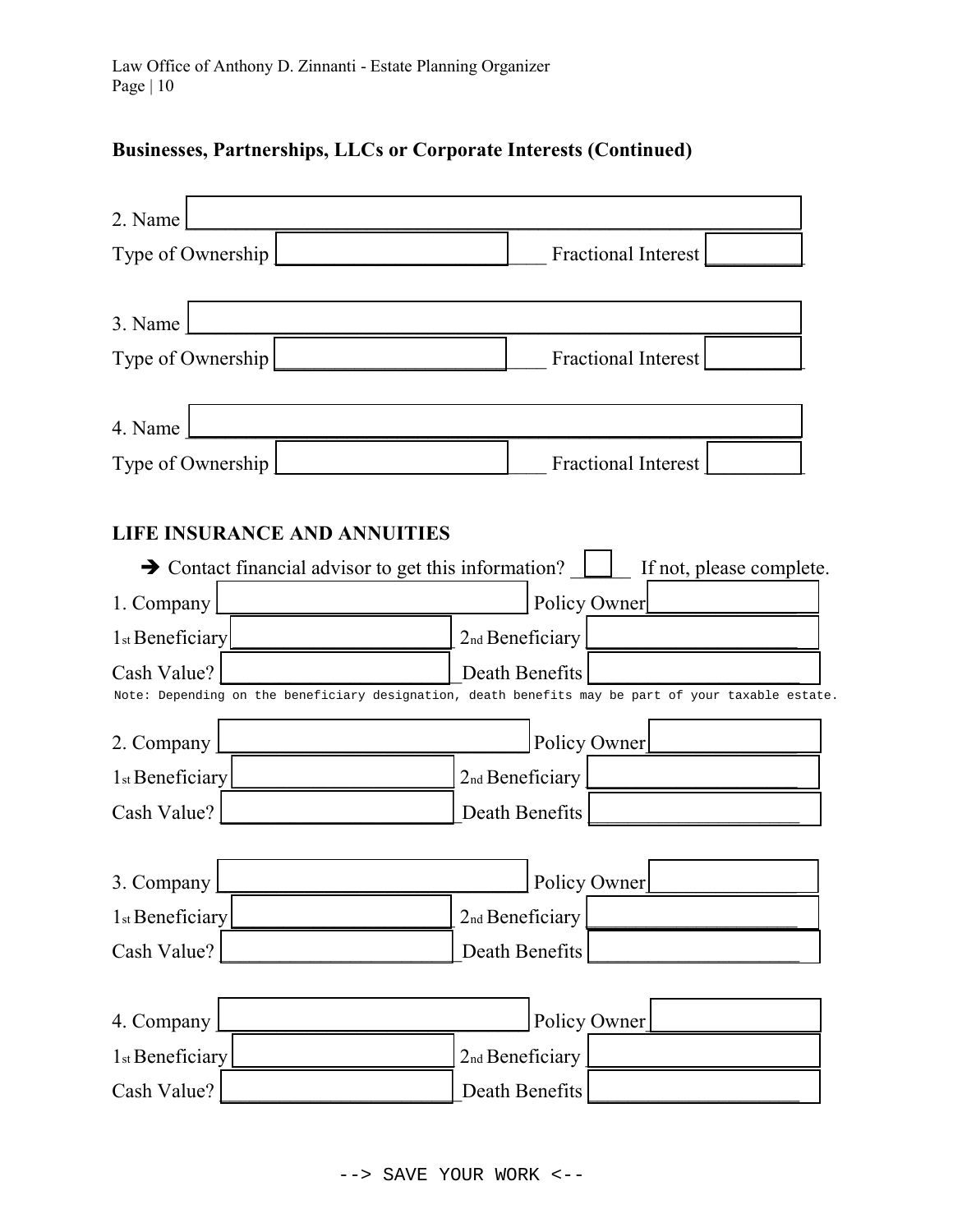# Businesses, Partnerships, LLCs or Corporate Interests (Continued)

| 2. Name                                                          |                                                                                                                      |
|------------------------------------------------------------------|----------------------------------------------------------------------------------------------------------------------|
| Type of Ownership                                                | <b>Fractional Interest</b>                                                                                           |
| 3. Name                                                          |                                                                                                                      |
| Type of Ownership                                                | <b>Fractional Interest</b>                                                                                           |
| 4. Name<br>Type of Ownership                                     | Fractional Interest                                                                                                  |
| <b>LIFE INSURANCE AND ANNUITIES</b>                              |                                                                                                                      |
| $\rightarrow$ Contact financial advisor to get this information? | If not, please complete.                                                                                             |
| 1. Company                                                       | Policy Owner                                                                                                         |
| 1 <sub>st</sub> Beneficiary                                      | 2nd Beneficiary                                                                                                      |
| Cash Value?                                                      | Death Benefits<br>Note: Depending on the beneficiary designation, death benefits may be part of your taxable estate. |
| 2. Company                                                       | Policy Owner                                                                                                         |
| 1 <sub>st</sub> Beneficiary                                      | 2nd Beneficiary                                                                                                      |
| Cash Value?                                                      | Death Benefits                                                                                                       |
| 3. Company                                                       | Policy Owner                                                                                                         |
| 1st Beneficiary                                                  | 2nd Beneficiary                                                                                                      |
| Cash Value?                                                      | Death Benefits                                                                                                       |
| 4. Company                                                       | Policy Owner                                                                                                         |
| 1st Beneficiary                                                  | 2nd Beneficiary                                                                                                      |
| Cash Value?                                                      | Death Benefits                                                                                                       |
|                                                                  | --> SAVE YOUR WORK <--                                                                                               |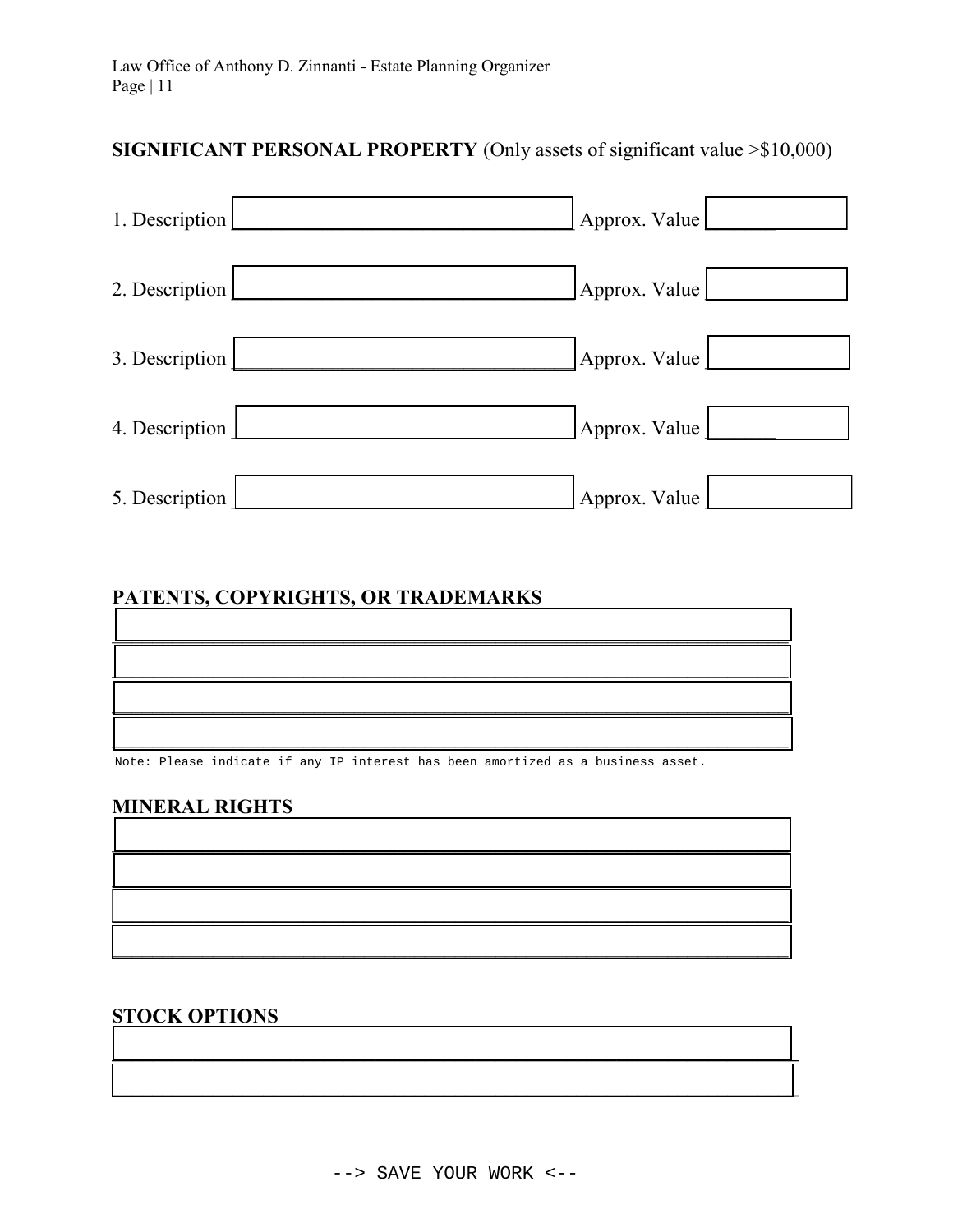# SIGNIFICANT PERSONAL PROPERTY (Only assets of significant value > \$10,000)

| 1. Description | Approx. Value |
|----------------|---------------|
| 2. Description | Approx. Value |
| 3. Description | Approx. Value |
| 4. Description | Approx. Value |
| 5. Description | Approx. Value |

#### PATENTS, COPYRIGHTS, OR TRADEMARKS

| <u> Termin administrativamente de la contrada de la contrada de la contrada de la contrada de la contrada de la c</u> |  |  |
|-----------------------------------------------------------------------------------------------------------------------|--|--|
|                                                                                                                       |  |  |
|                                                                                                                       |  |  |

Note: Please indicate if any IP interest has been amortized as a business asset.

#### **MINERAL RIGHTS**

#### **STOCK OPTIONS**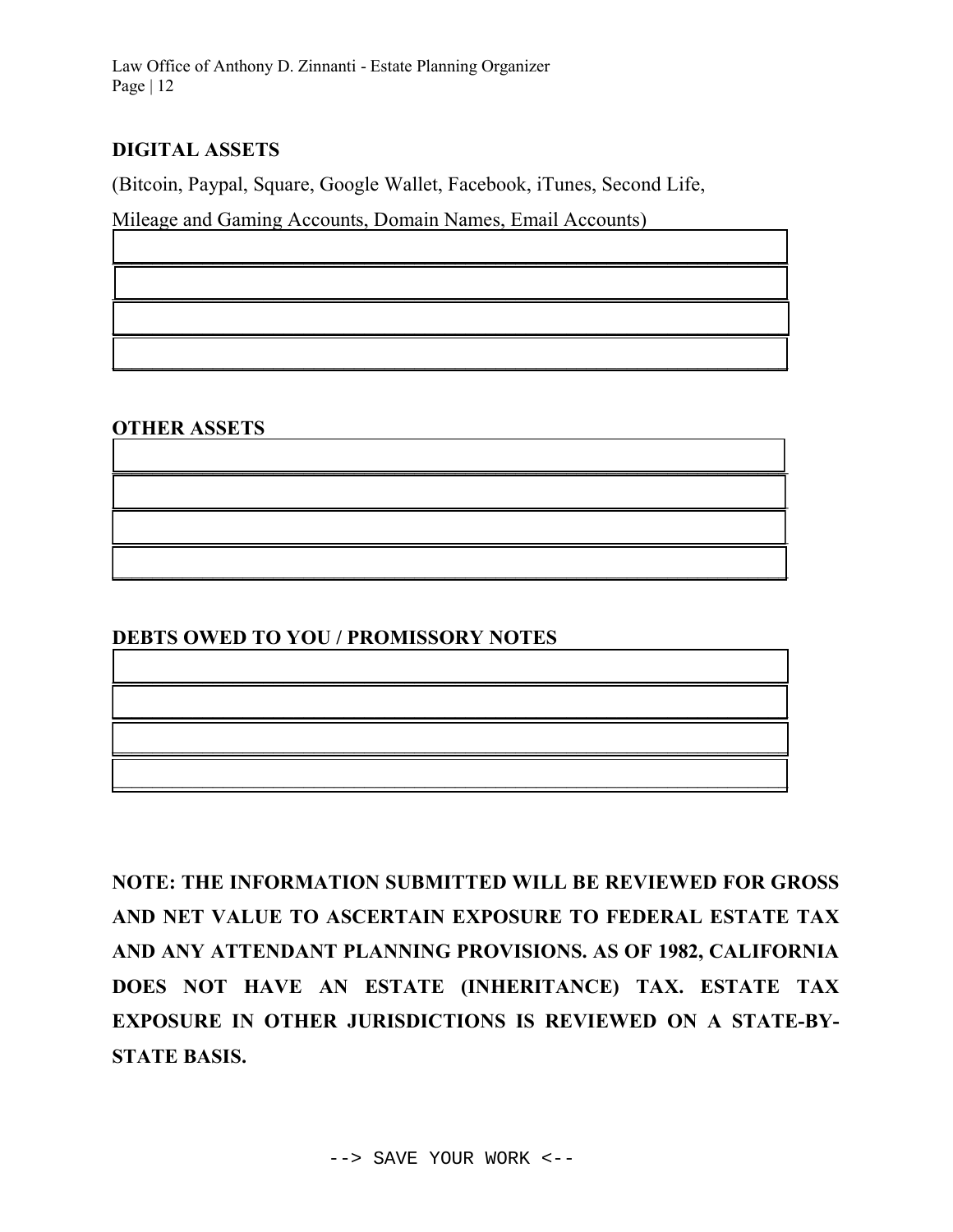Law Office of Anthony D. Zinnanti - Estate Planning Organizer Page | 12

## DIGITAL ASSETS

(Bitcoin, Paypal, Square, Google Wallet, Facebook, iTunes, Second Life,

 $\overline{\phantom{a}}$  , and the contract of the contract of the contract of the contract of the contract of the contract of the contract of the contract of the contract of the contract of the contract of the contract of the contrac

 $\mathcal{L}_\text{max}$  and  $\mathcal{L}_\text{max}$  and  $\mathcal{L}_\text{max}$  and  $\mathcal{L}_\text{max}$  and  $\mathcal{L}_\text{max}$  and  $\mathcal{L}_\text{max}$ 

 $\mathcal{L}_\text{max}$  and  $\mathcal{L}_\text{max}$  and  $\mathcal{L}_\text{max}$  and  $\mathcal{L}_\text{max}$  and  $\mathcal{L}_\text{max}$  and  $\mathcal{L}_\text{max}$ 

 $\blacksquare$ 

 $\mathcal{L}_\text{max}$  and  $\mathcal{L}_\text{max}$  and  $\mathcal{L}_\text{max}$  and  $\mathcal{L}_\text{max}$  and  $\mathcal{L}_\text{max}$  and  $\mathcal{L}_\text{max}$ 

 $\mathcal{L}_\text{max} = \mathcal{L}_\text{max} = \mathcal{L}_\text{max} = \mathcal{L}_\text{max} = \mathcal{L}_\text{max} = \mathcal{L}_\text{max} = \mathcal{L}_\text{max} = \mathcal{L}_\text{max} = \mathcal{L}_\text{max} = \mathcal{L}_\text{max} = \mathcal{L}_\text{max} = \mathcal{L}_\text{max} = \mathcal{L}_\text{max} = \mathcal{L}_\text{max} = \mathcal{L}_\text{max} = \mathcal{L}_\text{max} = \mathcal{L}_\text{max} = \mathcal{L}_\text{max} = \mathcal{$ 

 $\mathcal{L}_\mathcal{L} = \{ \mathcal{L}_\mathcal{L} = \{ \mathcal{L}_\mathcal{L} = \{ \mathcal{L}_\mathcal{L} = \{ \mathcal{L}_\mathcal{L} = \{ \mathcal{L}_\mathcal{L} = \{ \mathcal{L}_\mathcal{L} = \{ \mathcal{L}_\mathcal{L} = \{ \mathcal{L}_\mathcal{L} = \{ \mathcal{L}_\mathcal{L} = \{ \mathcal{L}_\mathcal{L} = \{ \mathcal{L}_\mathcal{L} = \{ \mathcal{L}_\mathcal{L} = \{ \mathcal{L}_\mathcal{L} = \{ \mathcal{L}_\mathcal{$ 

 $\mathcal{L}_\mathcal{L} = \{ \mathcal{L}_\mathcal{L} = \{ \mathcal{L}_\mathcal{L} = \{ \mathcal{L}_\mathcal{L} = \{ \mathcal{L}_\mathcal{L} = \{ \mathcal{L}_\mathcal{L} = \{ \mathcal{L}_\mathcal{L} = \{ \mathcal{L}_\mathcal{L} = \{ \mathcal{L}_\mathcal{L} = \{ \mathcal{L}_\mathcal{L} = \{ \mathcal{L}_\mathcal{L} = \{ \mathcal{L}_\mathcal{L} = \{ \mathcal{L}_\mathcal{L} = \{ \mathcal{L}_\mathcal{L} = \{ \mathcal{L}_\mathcal{$ 

Mileage and Gaming Accounts, Domain Names, Email Accounts)

OTHER ASSETS

#### DEBTS OWED TO YOU / PROMISSORY NOTES

NOTE: THE INFORMATION SUBMITTED WILL BE REVIEWED FOR GROSS AND NET VALUE TO ASCERTAIN EXPOSURE TO FEDERAL ESTATE TAX AND ANY ATTENDANT PLANNING PROVISIONS. AS OF 1982, CALIFORNIA DOES NOT HAVE AN ESTATE (INHERITANCE) TAX. ESTATE TAX EXPOSURE IN OTHER JURISDICTIONS IS REVIEWED ON A STATE-BY-STATE BASIS.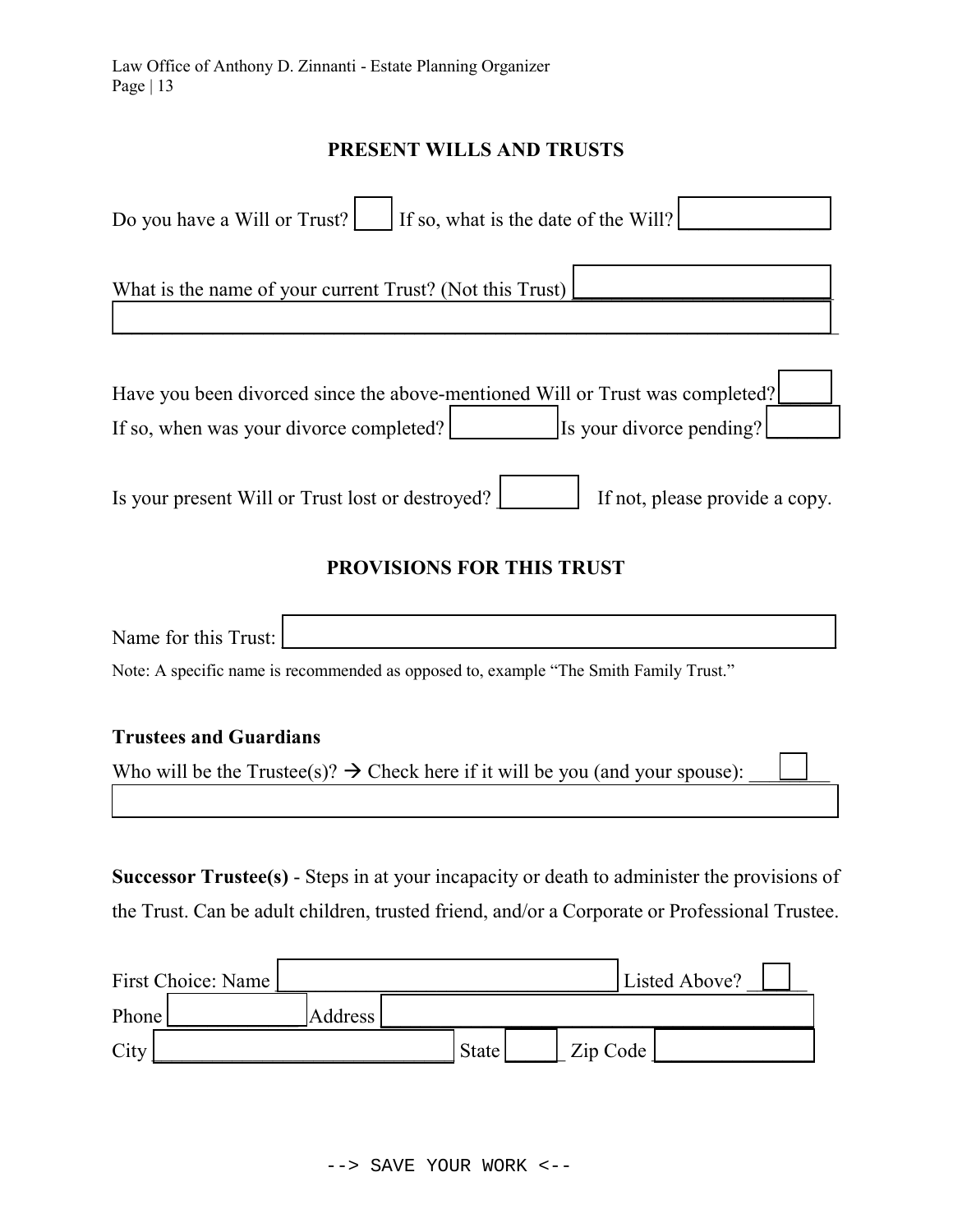#### PRESENT WILLS AND TRUSTS

| If so, what is the date of the Will?<br>Do you have a Will or Trust?                                                                                 |
|------------------------------------------------------------------------------------------------------------------------------------------------------|
| What is the name of your current Trust? (Not this Trust)                                                                                             |
| Have you been divorced since the above-mentioned Will or Trust was completed?<br>If so, when was your divorce completed?<br>Is your divorce pending? |
| Is your present Will or Trust lost or destroyed?<br>If not, please provide a copy.                                                                   |

## PROVISIONS FOR THIS TRUST

Name for this Trust:

Note: A specific name is recommended as opposed to, example "The Smith Family Trust."

#### Trustees and Guardians

Who will be the Trustee(s)?  $\rightarrow$  Check here if it will be you (and your spouse):

Successor Trustee(s) - Steps in at your incapacity or death to administer the provisions of the Trust. Can be adult children, trusted friend, and/or a Corporate or Professional Trustee.

 $\mathcal{L}_\text{max}$  and  $\mathcal{L}_\text{max}$  and  $\mathcal{L}_\text{max}$  and  $\mathcal{L}_\text{max}$  and  $\mathcal{L}_\text{max}$  and  $\mathcal{L}_\text{max}$ 

| First Choice: Name |         |              |          | Listed Above? |
|--------------------|---------|--------------|----------|---------------|
| Phone              | Address |              |          |               |
| City               |         | <b>State</b> | Zip Code |               |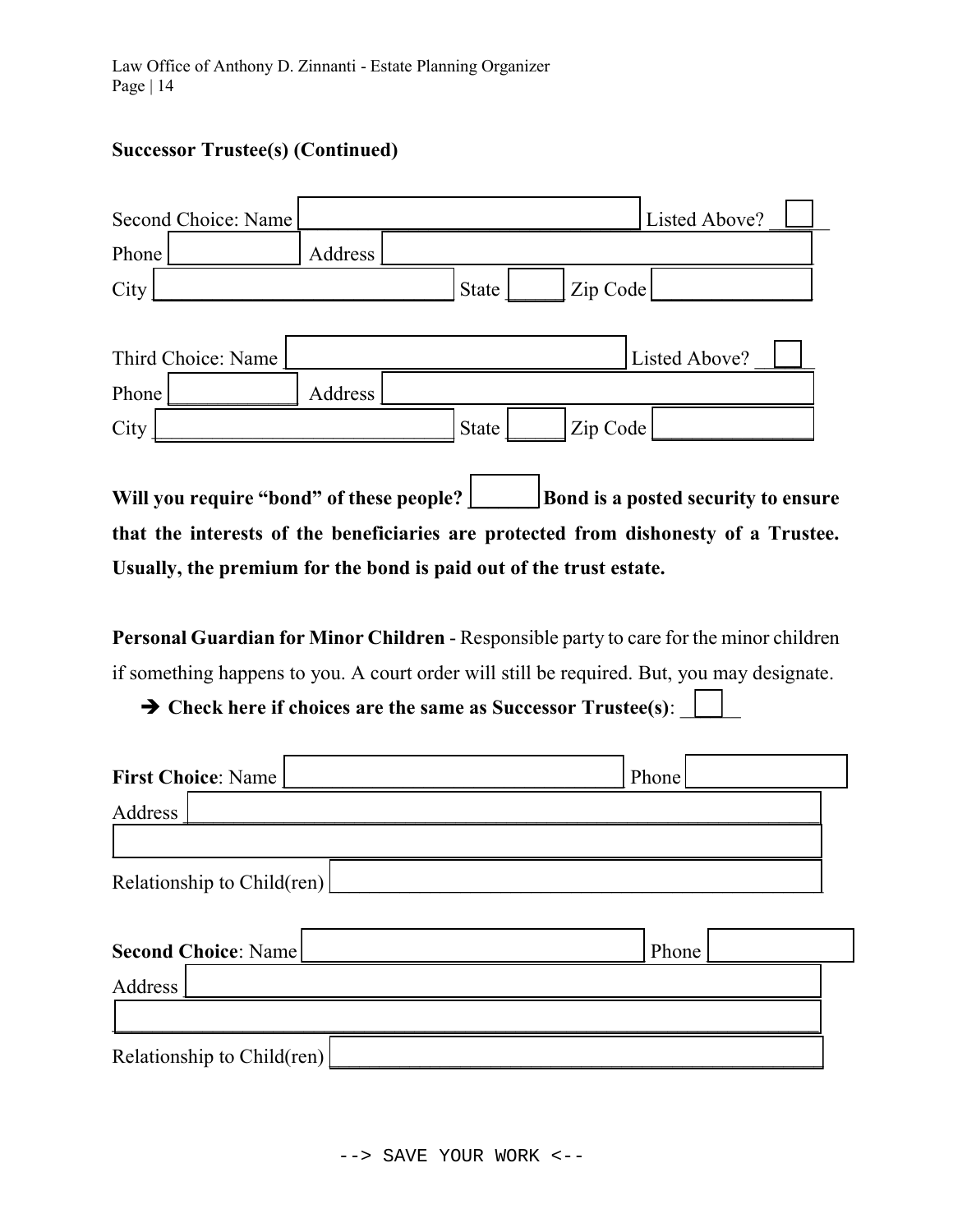# Successor Trustee(s) (Continued)

| Second Choice: Name                                                                                                             |         |              |          | Listed Above?                       |  |
|---------------------------------------------------------------------------------------------------------------------------------|---------|--------------|----------|-------------------------------------|--|
| Phone                                                                                                                           | Address |              |          |                                     |  |
| City                                                                                                                            |         | <b>State</b> | Zip Code |                                     |  |
| Third Choice: Name                                                                                                              |         |              |          | Listed Above?                       |  |
| Phone                                                                                                                           | Address |              |          |                                     |  |
| City                                                                                                                            |         | State        | Zip Code |                                     |  |
| Will you require "bond" of these people?<br>that the interests of the beneficiaries are protected from dishonesty of a Trustee. |         |              |          | Bond is a posted security to ensure |  |

Usually, the premium for the bond is paid out of the trust estate.

Personal Guardian for Minor Children - Responsible party to care for the minor children if something happens to you. A court order will still be required. But, you may designate.

 $\rightarrow$  Check here if choices are the same as Successor Trustee(s):

| <b>First Choice: Name</b>  | Phone |
|----------------------------|-------|
| Address                    |       |
| Relationship to Child(ren) |       |
| <b>Second Choice: Name</b> | Phone |
| Address                    |       |
| Relationship to Child(ren) |       |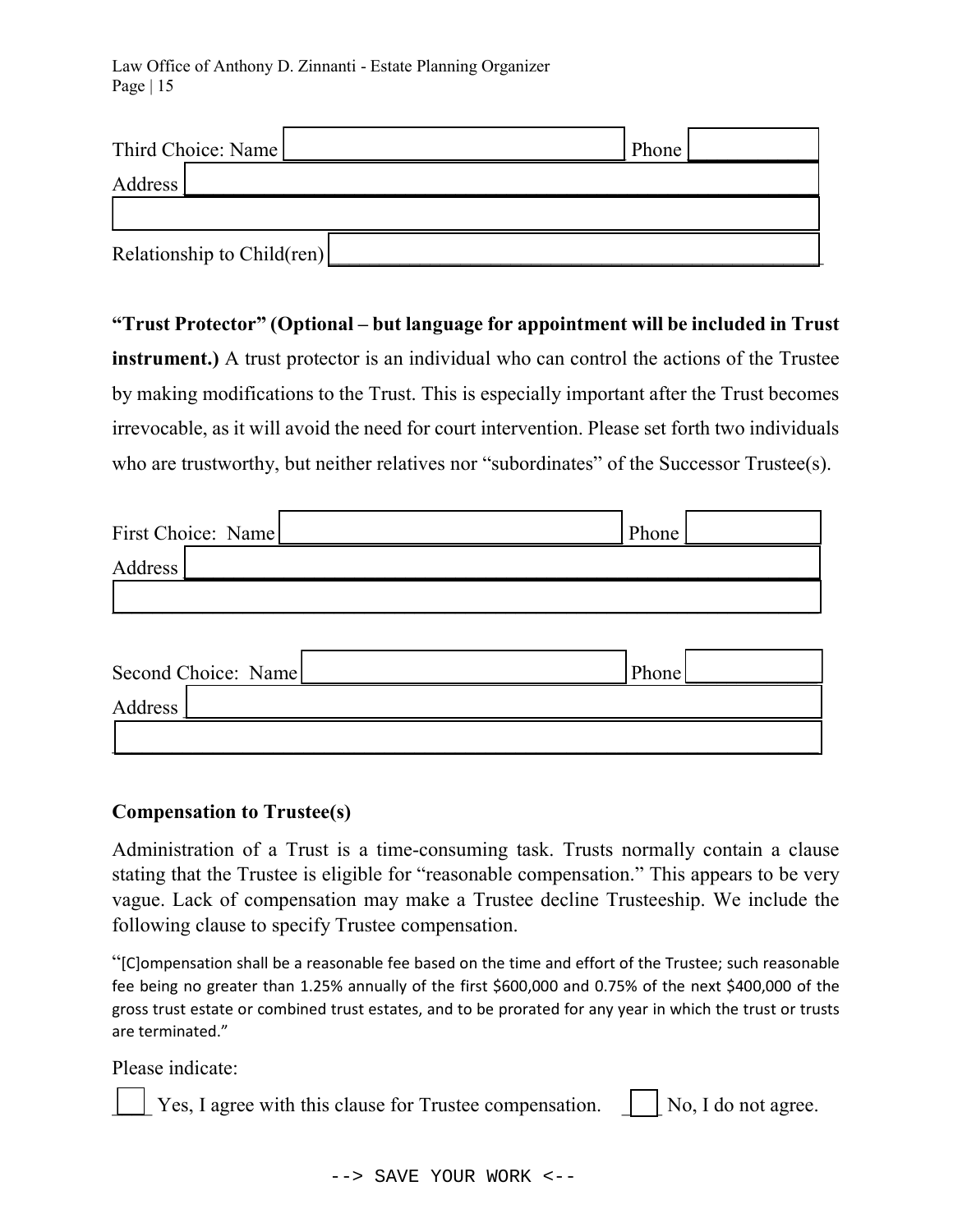Law Office of Anthony D. Zinnanti - Estate Planning Organizer Page | 15

| Third Choice: Name         | Phone |  |
|----------------------------|-------|--|
| Address <sup>1</sup>       |       |  |
|                            |       |  |
| Relationship to Child(ren) |       |  |

"Trust Protector" (Optional – but language for appointment will be included in Trust instrument.) A trust protector is an individual who can control the actions of the Trustee by making modifications to the Trust. This is especially important after the Trust becomes irrevocable, as it will avoid the need for court intervention. Please set forth two individuals who are trustworthy, but neither relatives nor "subordinates" of the Successor Trustee(s).

| First Choice: Name | Phone |  |
|--------------------|-------|--|
| Address            |       |  |
|                    |       |  |

| Second Choice: Name |  | Phone |  |
|---------------------|--|-------|--|
| Address             |  |       |  |
|                     |  |       |  |

#### Compensation to Trustee(s)

Administration of a Trust is a time-consuming task. Trusts normally contain a clause stating that the Trustee is eligible for "reasonable compensation." This appears to be very vague. Lack of compensation may make a Trustee decline Trusteeship. We include the following clause to specify Trustee compensation.

"[C]ompensation shall be a reasonable fee based on the time and effort of the Trustee; such reasonable fee being no greater than 1.25% annually of the first \$600,000 and 0.75% of the next \$400,000 of the gross trust estate or combined trust estates, and to be prorated for any year in which the trust or trusts are terminated."

Please indicate:

 $\vert$  Yes, I agree with this clause for Trustee compensation.  $\vert$  No, I do not agree.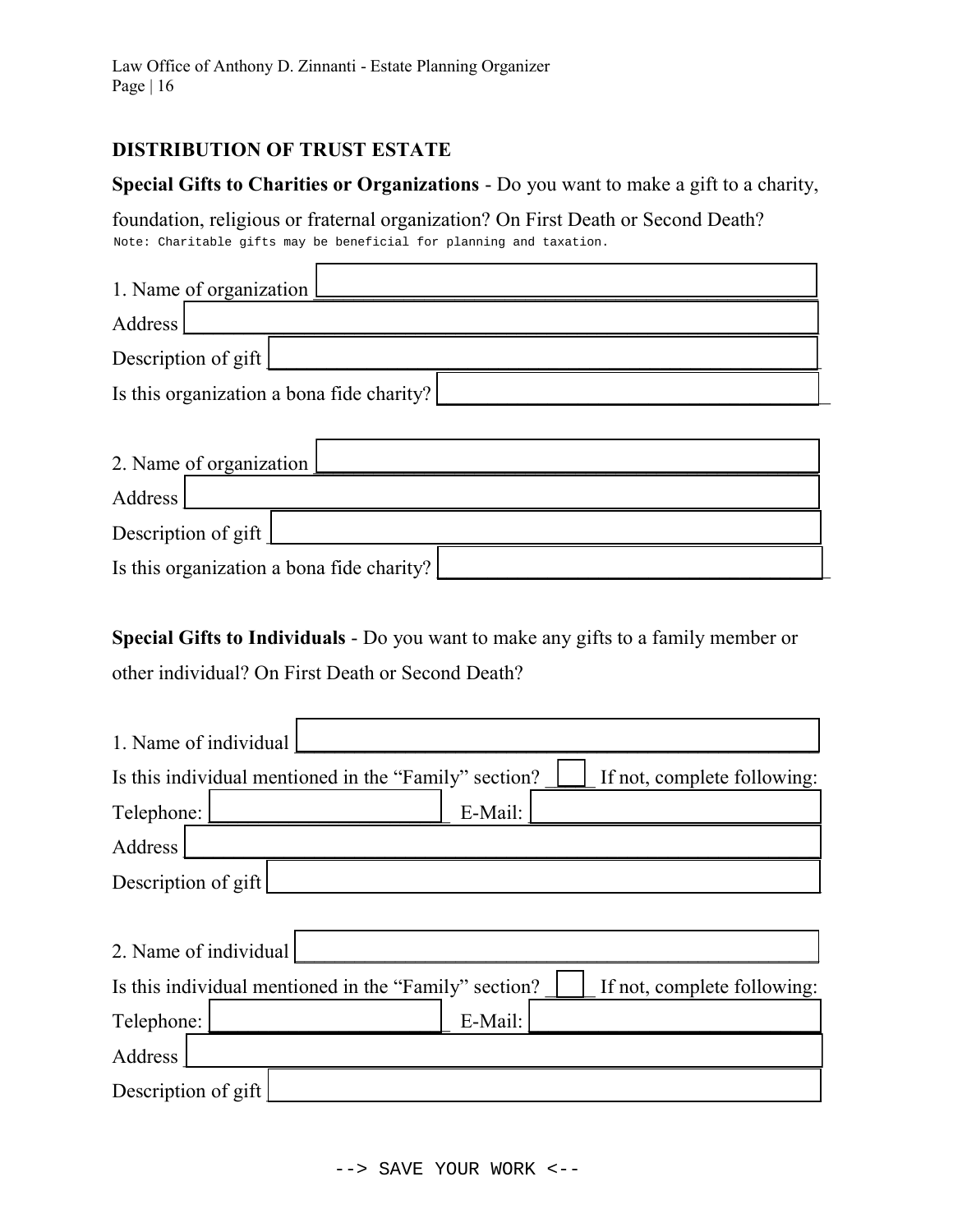#### DISTRIBUTION OF TRUST ESTATE

#### Special Gifts to Charities or Organizations - Do you want to make a gift to a charity,

foundation, religious or fraternal organization? On First Death or Second Death?

| 1. Name of organization                   |  |  |
|-------------------------------------------|--|--|
| Address                                   |  |  |
| Description of gift                       |  |  |
| Is this organization a bona fide charity? |  |  |
|                                           |  |  |
| 2. Name of organization                   |  |  |
| Address                                   |  |  |
| Description of gift                       |  |  |
| Is this organization a bona fide charity? |  |  |

| Note: Charitable gifts may be beneficial for planning and taxation. |                                                                                    |
|---------------------------------------------------------------------|------------------------------------------------------------------------------------|
| 1. Name of organization                                             |                                                                                    |
| Address                                                             |                                                                                    |
| Description of gift                                                 |                                                                                    |
| Is this organization a bona fide charity?                           |                                                                                    |
|                                                                     |                                                                                    |
| 2. Name of organization                                             |                                                                                    |
| Address                                                             |                                                                                    |
| Description of gift                                                 |                                                                                    |
| Is this organization a bona fide charity?                           |                                                                                    |
|                                                                     | Special Gifts to Individuals - Do you want to make any gifts to a family member or |
| other individual? On First Death or Second Death?                   |                                                                                    |
| 1. Name of individual                                               |                                                                                    |
| Is this individual mentioned in the "Family" section?               | If not, complete following:                                                        |
| Telephone:                                                          | E-Mail:                                                                            |
| Address                                                             |                                                                                    |
| Description of gift                                                 |                                                                                    |
|                                                                     |                                                                                    |
| 2. Name of individual                                               |                                                                                    |
| Is this individual mentioned in the "Family" section?               | If not, complete following:                                                        |
| Telephone:                                                          | E-Mail:                                                                            |
| Address                                                             |                                                                                    |
| Description of gift                                                 |                                                                                    |
|                                                                     |                                                                                    |
|                                                                     | SAVE YOUR WORK <--                                                                 |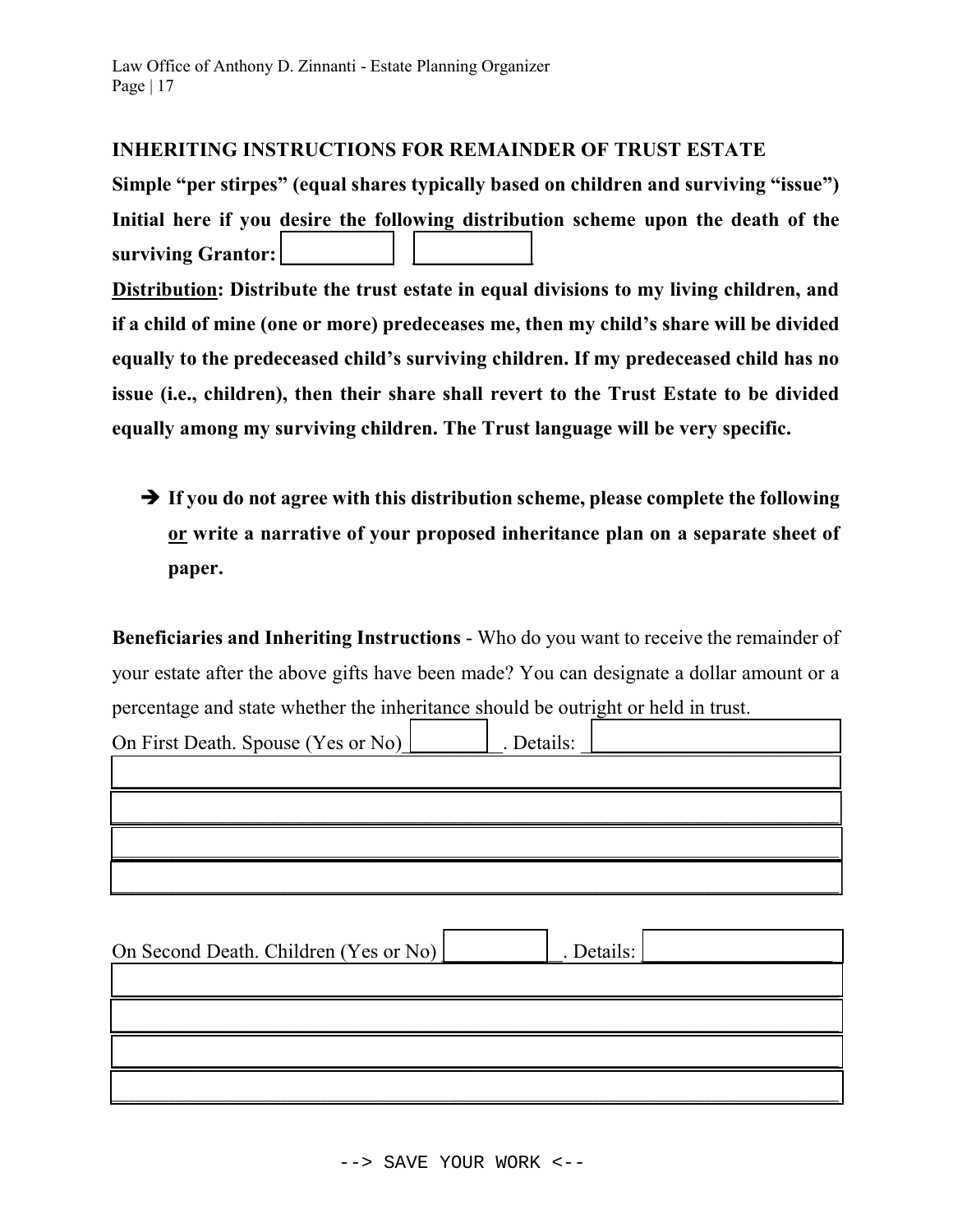#### INHERITING INSTRUCTIONS FOR REMAINDER OF TRUST ESTATE

Simple "per stirpes" (equal shares typically based on children and surviving "issue") Initial here if you desire the following distribution scheme upon the death of the surviving Grantor: Distribution: Distribute the trust estate in equal divisions to my living children, and if a child of mine (one or more) predeceases me, then my child's share will be divided equally to the predeceased child's surviving children. If my predeceased child has no issue (i.e., children), then their share shall revert to the Trust Estate to be divided equally among my surviving children. The Trust language will be very specific.

 $\rightarrow$  If you do not agree with this distribution scheme, please complete the following or write a narrative of your proposed inheritance plan on a separate sheet of paper.

Beneficiaries and Inheriting Instructions - Who do you want to receive the remainder of your estate after the above gifts have been made? You can designate a dollar amount or a percentage and state whether the inheritance should be outright or held in trust.

| On First Death. Spouse (Yes or No) | . Details: |  |
|------------------------------------|------------|--|
|                                    |            |  |
|                                    |            |  |
|                                    |            |  |
|                                    |            |  |

| On Second Death. Children (Yes or No) | . Details: |  |
|---------------------------------------|------------|--|
|                                       |            |  |
|                                       |            |  |
|                                       |            |  |
|                                       |            |  |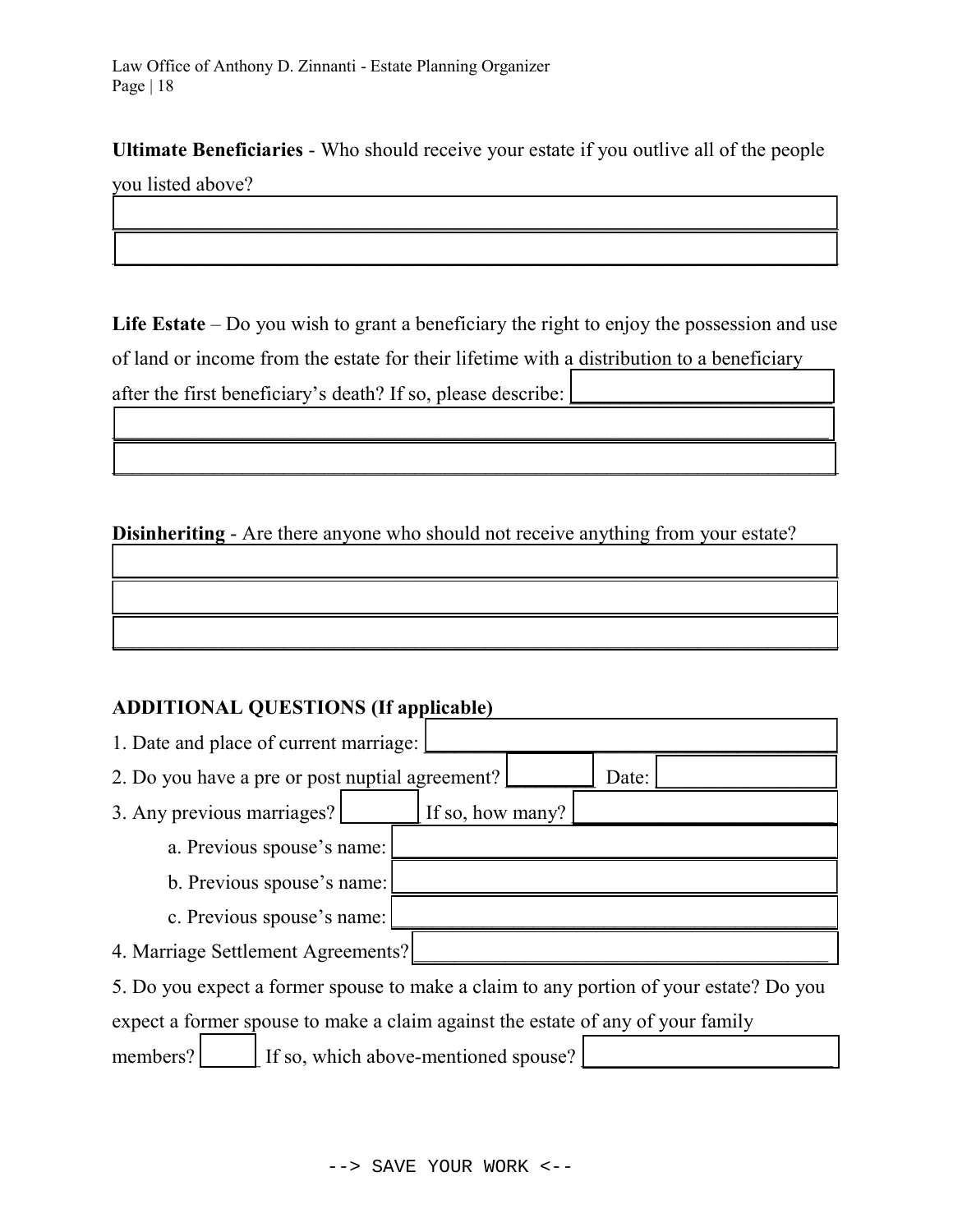Ultimate Beneficiaries - Who should receive your estate if you outlive all of the people

 $\mathcal{L}_\text{max} = \mathcal{L}_\text{max} = \mathcal{L}_\text{max} = \mathcal{L}_\text{max} = \mathcal{L}_\text{max} = \mathcal{L}_\text{max} = \mathcal{L}_\text{max} = \mathcal{L}_\text{max} = \mathcal{L}_\text{max} = \mathcal{L}_\text{max} = \mathcal{L}_\text{max} = \mathcal{L}_\text{max} = \mathcal{L}_\text{max} = \mathcal{L}_\text{max} = \mathcal{L}_\text{max} = \mathcal{L}_\text{max} = \mathcal{L}_\text{max} = \mathcal{L}_\text{max} = \mathcal{$ 

 $\Box$ 

you listed above?

Life Estate – Do you wish to grant a beneficiary the right to enjoy the possession and use of land or income from the estate for their lifetime with a distribution to a beneficiary after the first beneficiary's death? If so, please describe:  $\vert$ 

 $\Box$  , and the contract of the contract of the contract of the contract of the contract of the contract of the contract of

 $\Box$  , and the contract of the contract of the contract of the contract of the contract of the contract of the contract of

 $\mathcal{L}_\mathcal{L} = \{ \mathcal{L}_\mathcal{L} = \{ \mathcal{L}_\mathcal{L} = \{ \mathcal{L}_\mathcal{L} = \{ \mathcal{L}_\mathcal{L} = \{ \mathcal{L}_\mathcal{L} = \{ \mathcal{L}_\mathcal{L} = \{ \mathcal{L}_\mathcal{L} = \{ \mathcal{L}_\mathcal{L} = \{ \mathcal{L}_\mathcal{L} = \{ \mathcal{L}_\mathcal{L} = \{ \mathcal{L}_\mathcal{L} = \{ \mathcal{L}_\mathcal{L} = \{ \mathcal{L}_\mathcal{L} = \{ \mathcal{L}_\mathcal{$ 

 $\mathcal{L}_\text{max}$  and  $\mathcal{L}_\text{max}$  and  $\mathcal{L}_\text{max}$  and  $\mathcal{L}_\text{max}$  and  $\mathcal{L}_\text{max}$  and  $\mathcal{L}_\text{max}$ 

 $\Box$ 

Disinheriting - Are there anyone who should not receive anything from your estate?

#### ADDITIONAL QUESTIONS (If applicable)

| 1. Date and place of current marriage:                                                 |  |  |
|----------------------------------------------------------------------------------------|--|--|
| 2. Do you have a pre or post nuptial agreement?<br>Date:                               |  |  |
| 3. Any previous marriages?<br>If so, how many?                                         |  |  |
| a. Previous spouse's name:                                                             |  |  |
| b. Previous spouse's name:                                                             |  |  |
| c. Previous spouse's name:                                                             |  |  |
| 4. Marriage Settlement Agreements?                                                     |  |  |
| 5. Do you expect a former spouse to make a claim to any portion of your estate? Do you |  |  |
| expect a former spouse to make a claim against the estate of any of your family        |  |  |

members?  $\vert$  If so, which above-mentioned spouse?  $\vert$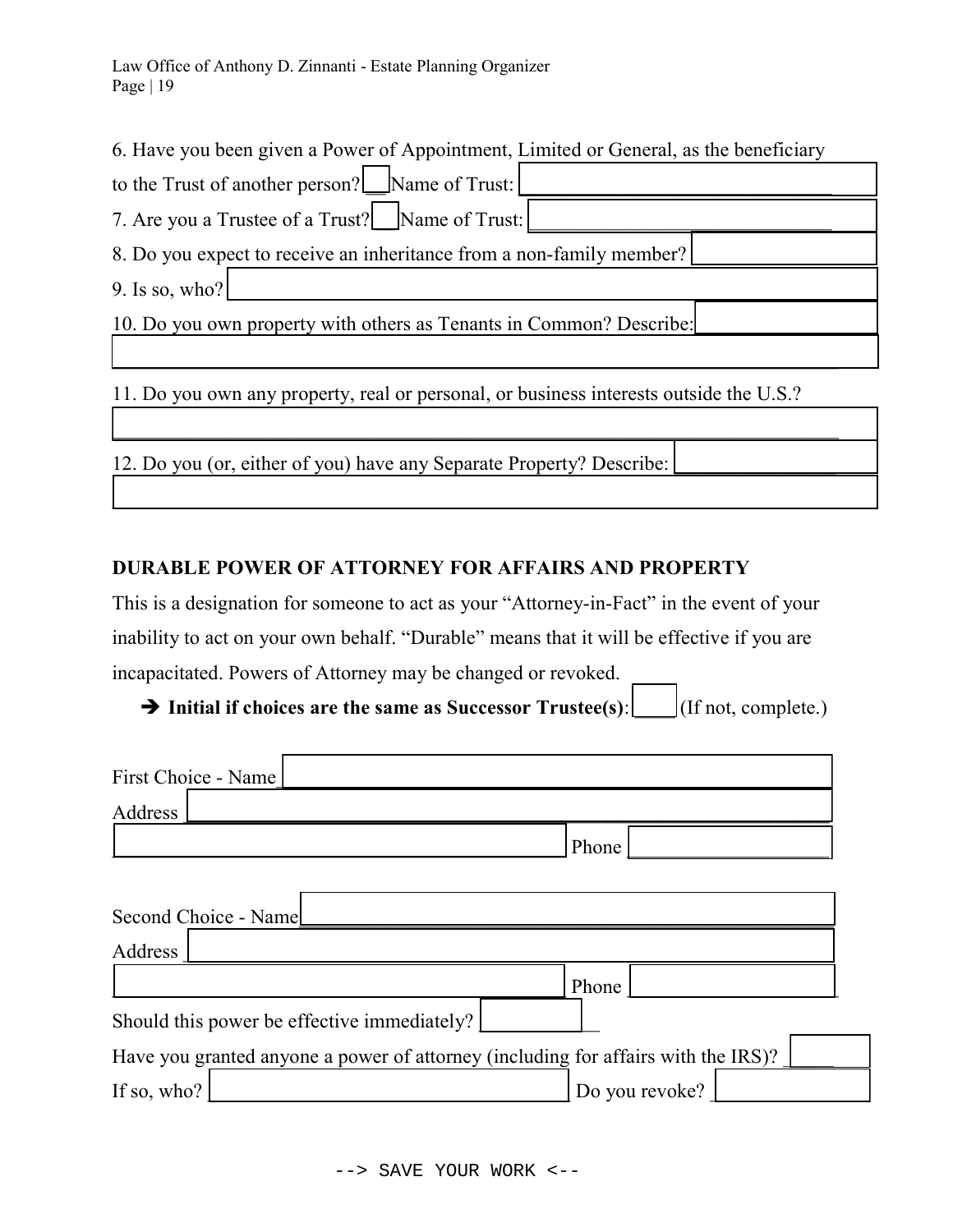Law Office of Anthony D. Zinnanti - Estate Planning Organizer Page | 19

6. Have you been given a Power of Appointment, Limited or General, as the beneficiary

| to the Trust of another person? Name of Trust:                                                                                    |
|-----------------------------------------------------------------------------------------------------------------------------------|
| 7. Are you a Trustee of a Trust? Name of Trust:                                                                                   |
| 8. Do you expect to receive an inheritance from a non-family member?                                                              |
| 9. Is so, who?                                                                                                                    |
| 10. Do you own property with others as Tenants in Common? Describe:                                                               |
|                                                                                                                                   |
| 11 $\mathbf{D}_1$ and the continuum of the second contract of the state of the second depth of $\mathbf{D} \mathbf{Q} \mathbf{Q}$ |

11. Do you own any property, real or personal, or business interests outside the U.S.?  $\mathcal{L}_\text{max} = \mathcal{L}_\text{max} = \mathcal{L}_\text{max} = \mathcal{L}_\text{max} = \mathcal{L}_\text{max} = \mathcal{L}_\text{max} = \mathcal{L}_\text{max} = \mathcal{L}_\text{max} = \mathcal{L}_\text{max} = \mathcal{L}_\text{max} = \mathcal{L}_\text{max} = \mathcal{L}_\text{max} = \mathcal{L}_\text{max} = \mathcal{L}_\text{max} = \mathcal{L}_\text{max} = \mathcal{L}_\text{max} = \mathcal{L}_\text{max} = \mathcal{L}_\text{max} = \mathcal{$ 12. Do you (or, either of you) have any Separate Property? Describe:  $\mathcal{L}_\text{max} = \mathcal{L}_\text{max} = \mathcal{L}_\text{max} = \mathcal{L}_\text{max} = \mathcal{L}_\text{max} = \mathcal{L}_\text{max} = \mathcal{L}_\text{max} = \mathcal{L}_\text{max} = \mathcal{L}_\text{max} = \mathcal{L}_\text{max} = \mathcal{L}_\text{max} = \mathcal{L}_\text{max} = \mathcal{L}_\text{max} = \mathcal{L}_\text{max} = \mathcal{L}_\text{max} = \mathcal{L}_\text{max} = \mathcal{L}_\text{max} = \mathcal{L}_\text{max} = \mathcal{$ 

## DURABLE POWER OF ATTORNEY FOR AFFAIRS AND PROPERTY

This is a designation for someone to act as your "Attorney-in-Fact" in the event of your inability to act on your own behalf. "Durable" means that it will be effective if you are incapacitated. Powers of Attorney may be changed or revoked.

 $\rightarrow$  Initial if choices are the same as Successor Trustee(s):  $\Box$  (If not, complete.)

| First Choice - Name                                                               |                |
|-----------------------------------------------------------------------------------|----------------|
| Address                                                                           |                |
|                                                                                   | Phone          |
|                                                                                   |                |
| Second Choice - Namel                                                             |                |
| Address                                                                           |                |
|                                                                                   | Phone          |
| Should this power be effective immediately?                                       |                |
| Have you granted anyone a power of attorney (including for affairs with the IRS)? |                |
| If so, who?                                                                       | Do you revoke? |